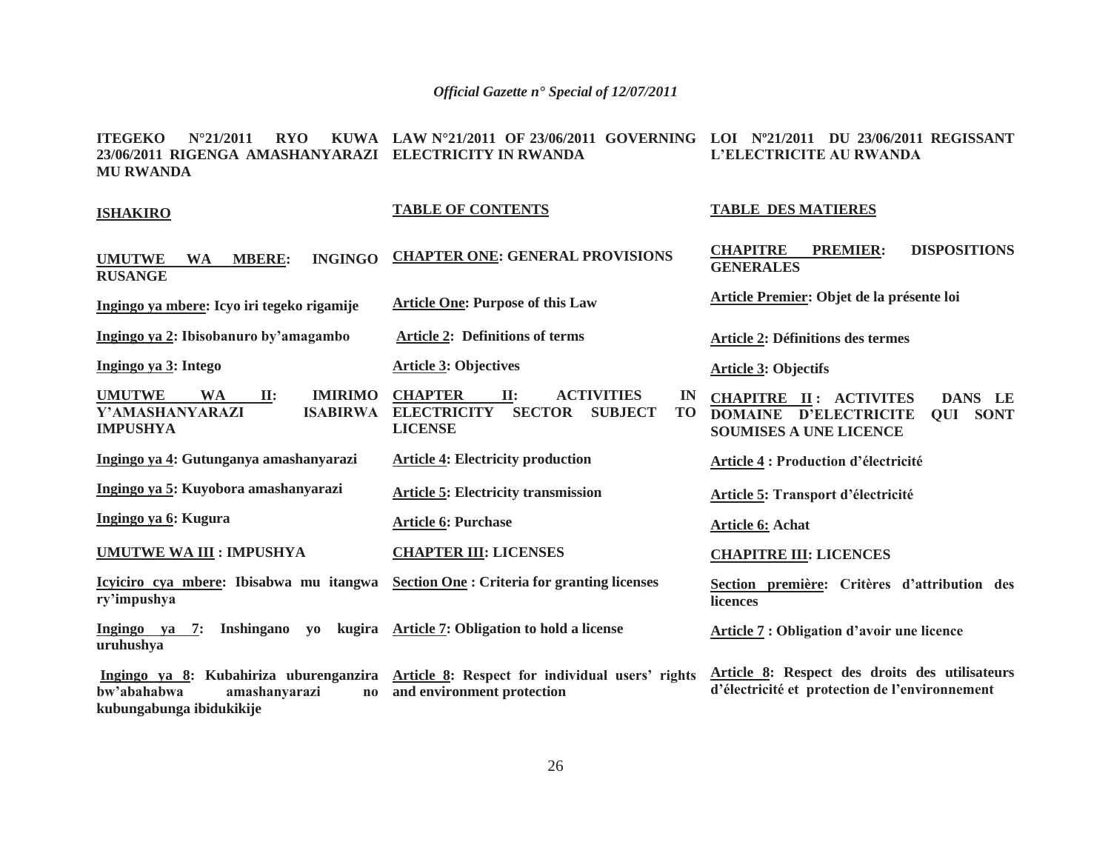**ITEGEKO N°21/2011 RYO KUWA LAW N°21/2011 OF 23/06/2011 GOVERNING LOI Nº21/2011 DU 23/06/2011 REGISSANT 23/06/2011 RIGENGA AMASHANYARAZI ELECTRICITY IN RWANDAMU RWANDAL'ELECTRICITE AU RWANDA**

#### **ISHAKIRO**

**RUSANGE**

#### **TABLE OF CONTENTS**

**UMUTWE WA MBERE: INGINGO CHAPTER ONE: GENERAL PROVISIONS**

**Ingingo ya mbere: Icyo iri tegeko rigamije Article One: Purpose of this Law** 

**Article 3: Objectives** 

**Article 6: Purchase** 

 **Article 2: Definitions of terms** 

**Article 4: Electricity production** 

**Article 5: Electricity transmission** 

**CHAPTER III: LICENSES** 

**UMUTWE WA II: IMIRIMO Y'AMASHANYARAZI IMPUSHYA ELECTRICITY SECTOR SUBJECT TO** 

**Ingingo ya 2: Ibisobanuro by'amagambo**

**Ingingo ya 4: Gutunganya amashanyarazi** 

**Ingingo ya 5: Kuyobora amashanyarazi** 

**Ingingo ya 6: Kugura** 

**ry'impushya**

**Ingingo ya 3: Intego** 

**UMUTWE WA III : IMPUSHYA** 

**Icyiciro cya mbere: Ibisabwa mu itangwa Section One : Criteria for granting licenses** 

**LICENSE**

**Ingingo ya 7: Inshingano yo uruhushya Article 7: Obligation to hold a license** 

 **Ingingo ya 8: Kubahiriza uburenganzira Article 8: Respect for individual users' rights bw'abahabwa amashanyarazi no kubungabunga ibidukikije and environment protection d'électricité et protection de l'environnement**

# **TABLE DES MATIERES**

**CHAPITRE PREMIER: DISPOSITIONS GENERALES**

**Article Premier: Objet de la présente loi** 

**Article 2: Définitions des termes** 

#### **Article 3: Objectifs**

**CHAPTER II: ACTIVITIES IN CHAPITRE II: ACTIVITES DANS LE DOMAINE D'ELECTRICITE QUI SONT SOUMISES A UNE LICENCE**

**Article 4 : Production d'électricité**

**Article 5: Transport d'électricité**

**Article 6: Achat** 

**CHAPITRE III: LICENCES** 

**Section première: Critères d'attribution des licences**

**Article 7 : Obligation d'avoir une licence**

**Article 8: Respect des droits des utilisateurs**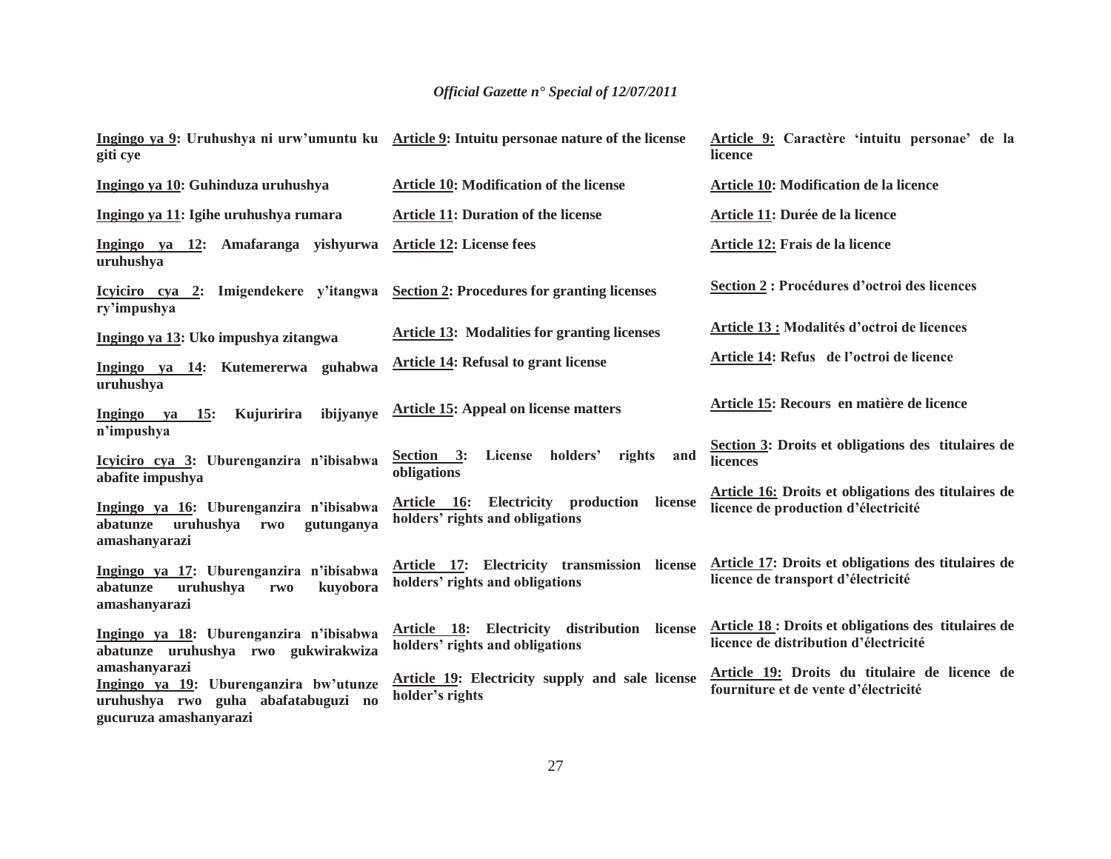| giti cye                                                                                               | Ingingo ya 9: Uruhushya ni urw'umuntu ku Article 9: Intuitu personae nature of the license | Article 9: Caractère 'intuitu personae' de la<br>licence                                      |
|--------------------------------------------------------------------------------------------------------|--------------------------------------------------------------------------------------------|-----------------------------------------------------------------------------------------------|
| Ingingo ya 10: Guhinduza uruhushya                                                                     | Article 10: Modification of the license                                                    | Article 10: Modification de la licence                                                        |
| Ingingo ya 11: Igihe uruhushya rumara                                                                  | <b>Article 11: Duration of the license</b>                                                 | Article 11: Durée de la licence                                                               |
| Ingingo ya 12: Amafaranga yishyurwa<br>uruhushya                                                       | <b>Article 12: License fees</b>                                                            | Article 12: Frais de la licence                                                               |
| Icyliciro cya 2: Imigendekere y'itangwa Section 2: Procedures for granting licenses<br>ry'impushya     |                                                                                            | Section 2 : Procédures d'octroi des licences                                                  |
| Ingingo ya 13: Uko impushya zitangwa                                                                   | <b>Article 13: Modalities for granting licenses</b>                                        | <b>Article 13 : Modalités d'octroi de licences</b>                                            |
| Ingingo ya 14: Kutemererwa guhabwa<br>uruhushya                                                        | <b>Article 14: Refusal to grant license</b>                                                | Article 14: Refus de l'octroi de licence                                                      |
| Kujuririra<br>ibijyanye<br>Ingingo ya<br><b>15:</b><br>n'impushya                                      | <b>Article 15: Appeal on license matters</b>                                               | Article 15: Recours en matière de licence                                                     |
| Icyiciro cya 3: Uburenganzira n'ibisabwa<br>abafite impushya                                           | holders'<br>Section 3:<br>License<br>rights<br>and<br>obligations                          | Section 3: Droits et obligations des titulaires de<br>licences                                |
| Ingingo ya 16: Uburenganzira n'ibisabwa<br>uruhushya<br>abatunze<br>gutunganya<br>rwo<br>amashanyarazi | Article 16: Electricity production license<br>holders' rights and obligations              | Article 16: Droits et obligations des titulaires de<br>licence de production d'électricité    |
| Ingingo ya 17: Uburenganzira n'ibisabwa<br>uruhushya<br>kuyobora<br>abatunze<br>rwo<br>amashanyarazi   | Article 17: Electricity transmission license<br>holders' rights and obligations            | Article 17: Droits et obligations des titulaires de<br>licence de transport d'électricité     |
| Ingingo ya 18: Uburenganzira n'ibisabwa<br>abatunze uruhushya rwo gukwirakwiza                         | Article 18: Electricity distribution license<br>holders' rights and obligations            | Article 18 : Droits et obligations des titulaires de<br>licence de distribution d'électricité |
| amashanyarazi<br>Ingingo ya 19: Uburenganzira bw'utunze<br>uruhushya rwo guha abafatabuguzi no         | <b>Article 19:</b> Electricity supply and sale license<br>holder's rights                  | Article 19: Droits du titulaire de licence de<br>fourniture et de vente d'électricité         |
| gucuruza amashanyarazi                                                                                 |                                                                                            |                                                                                               |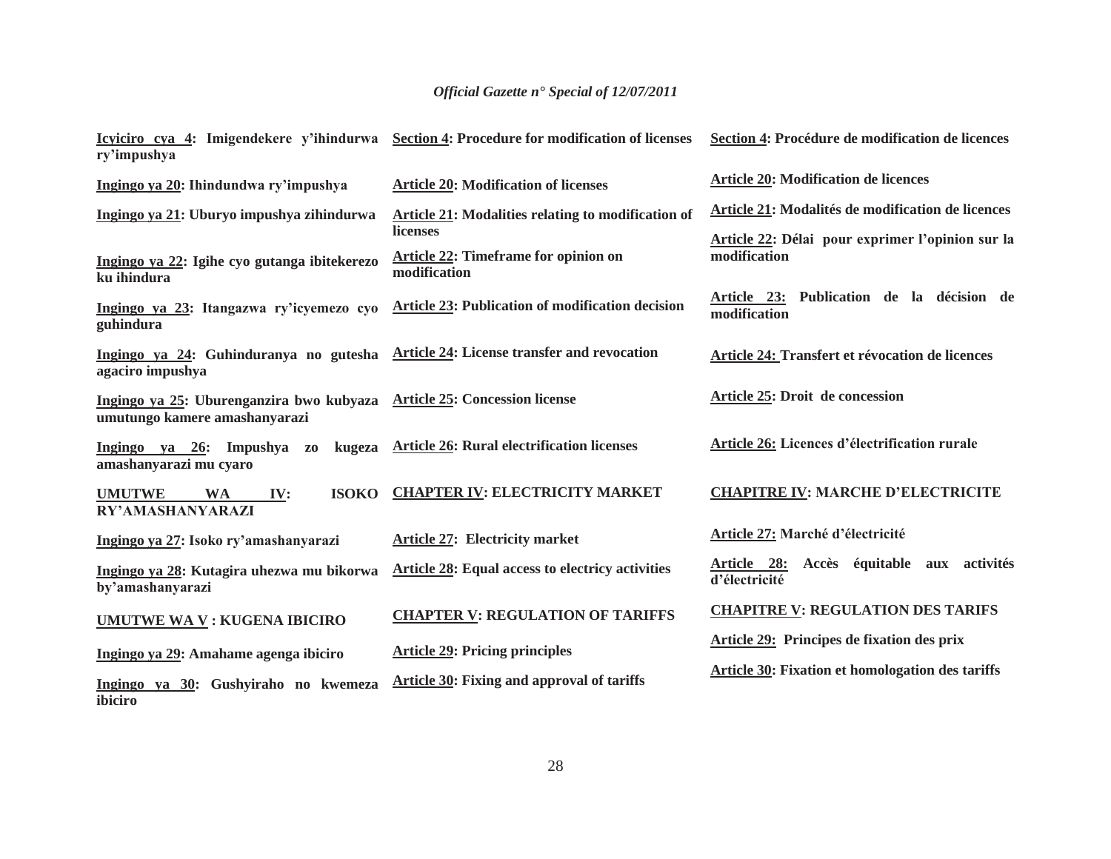| ry'impushya                                                                                            | Icyiciro cya 4: Imigendekere y'ihindurwa Section 4: Procedure for modification of licenses | Section 4: Procédure de modification de licences                                                      |
|--------------------------------------------------------------------------------------------------------|--------------------------------------------------------------------------------------------|-------------------------------------------------------------------------------------------------------|
| Ingingo ya 20: Ihindundwa ry'impushya                                                                  | <b>Article 20: Modification of licenses</b>                                                | <b>Article 20: Modification de licences</b>                                                           |
| Ingingo ya 21: Uburyo impushya zihindurwa                                                              | Article 21: Modalities relating to modification of<br>licenses                             | Article 21: Modalités de modification de licences<br>Article 22: Délai pour exprimer l'opinion sur la |
| Ingingo ya 22: Igihe cyo gutanga ibitekerezo<br>ku ihindura                                            | <b>Article 22: Timeframe for opinion on</b><br>modification                                | modification                                                                                          |
| Ingingo ya 23: Itangazwa ry'icyemezo cyo<br>guhindura                                                  | Article 23: Publication of modification decision                                           | Article 23: Publication de la décision de<br>modification                                             |
| Ingingo ya 24: Guhinduranya no gutesha Article 24: License transfer and revocation<br>agaciro impushya |                                                                                            | Article 24: Transfert et révocation de licences                                                       |
| Ingingo ya 25: Uburenganzira bwo kubyaza<br>umutungo kamere amashanyarazi                              | <b>Article 25: Concession license</b>                                                      | Article 25: Droit de concession                                                                       |
| Ingingo ya 26: Impushya<br>kugeza<br>Z <sub>0</sub><br>amashanyarazi mu cyaro                          | <b>Article 26: Rural electrification licenses</b>                                          | Article 26: Licences d'électrification rurale                                                         |
| <b>ISOKO</b><br><b>UMUTWE</b><br><b>WA</b><br>IV:<br>RY'AMASHANYARAZI                                  | <b>CHAPTER IV: ELECTRICITY MARKET</b>                                                      | <b>CHAPITRE IV: MARCHE D'ELECTRICITE</b>                                                              |
| Ingingo ya 27: Isoko ry'amashanyarazi                                                                  | <b>Article 27: Electricity market</b>                                                      | Article 27: Marché d'électricité                                                                      |
| Ingingo ya 28: Kutagira uhezwa mu bikorwa<br>by'amashanyarazi                                          | <b>Article 28: Equal access to electricy activities</b>                                    | Accès équitable aux activités<br><u>Article 28:</u><br>d'électricité                                  |
| <b>UMUTWE WA V: KUGENA IBICIRO</b>                                                                     | <b>CHAPTER V: REGULATION OF TARIFFS</b>                                                    | <b>CHAPITRE V: REGULATION DES TARIFS</b>                                                              |
| Ingingo ya 29: Amahame agenga ibiciro                                                                  | <b>Article 29: Pricing principles</b>                                                      | Article 29: Principes de fixation des prix                                                            |
| Ingingo ya 30: Gushyiraho no kwemeza<br>ibiciro                                                        | Article 30: Fixing and approval of tariffs                                                 | Article 30: Fixation et homologation des tariffs                                                      |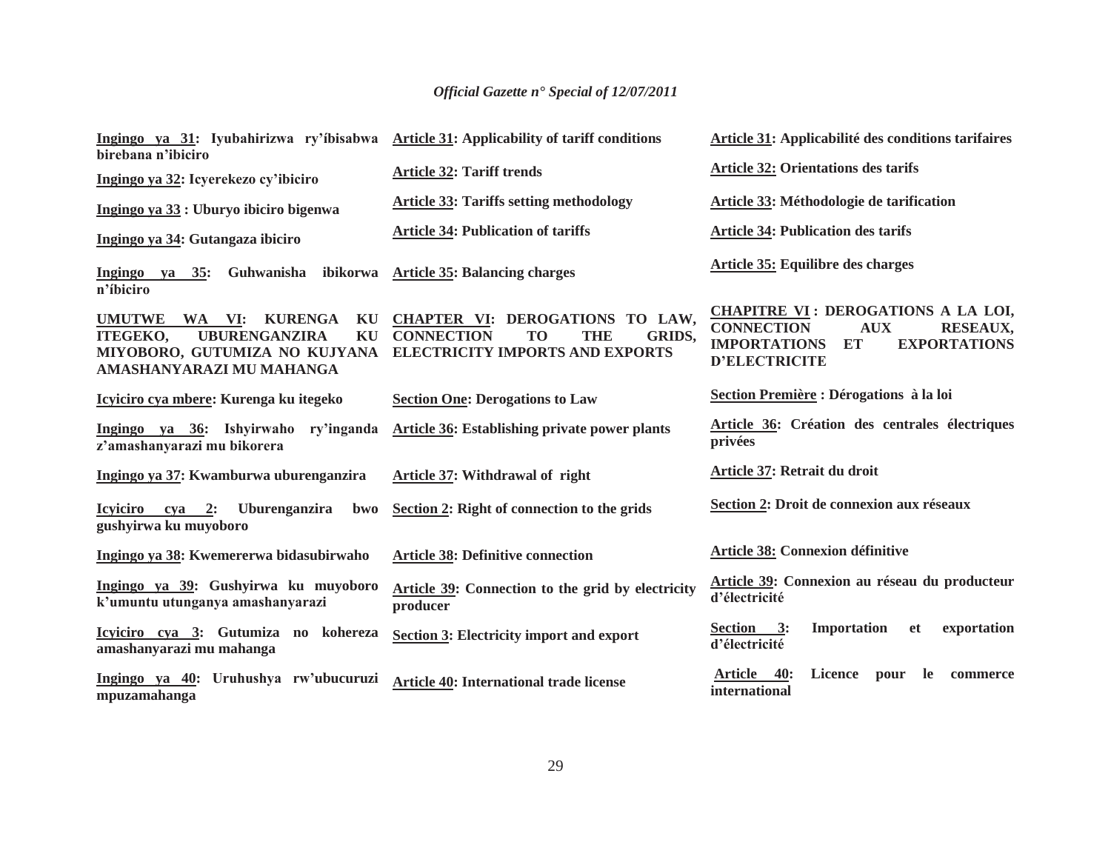| Ingingo ya 31: Iyubahirizwa ry'ibisabwa Article 31: Applicability of tariff conditions<br>birebana n'ibiciro                                                  |                                                                                                                                          | Article 31: Applicabilité des conditions tarifaires                                                                                                                                |
|---------------------------------------------------------------------------------------------------------------------------------------------------------------|------------------------------------------------------------------------------------------------------------------------------------------|------------------------------------------------------------------------------------------------------------------------------------------------------------------------------------|
| Ingingo ya 32: Icyerekezo cy'ibiciro                                                                                                                          | <b>Article 32: Tariff trends</b>                                                                                                         | <b>Article 32: Orientations des tarifs</b>                                                                                                                                         |
| Ingingo ya 33 : Uburyo ibiciro bigenwa                                                                                                                        | <b>Article 33: Tariffs setting methodology</b>                                                                                           | Article 33: Méthodologie de tarification                                                                                                                                           |
| Ingingo ya 34: Gutangaza ibiciro                                                                                                                              | <b>Article 34: Publication of tariffs</b>                                                                                                | <b>Article 34: Publication des tarifs</b>                                                                                                                                          |
| Guhwanisha<br>Ingingo ya $35$ :<br>n'ibiciro                                                                                                                  | ibikorwa Article 35: Balancing charges                                                                                                   | Article 35: Equilibre des charges                                                                                                                                                  |
| <b>UMUTWE</b><br><b>KURENGA</b><br>WA VI:<br>KU<br><b>UBURENGANZIRA</b><br><b>ITEGEKO,</b><br>KU<br>MIYOBORO, GUTUMIZA NO KUJYANA<br>AMASHANYARAZI MU MAHANGA | CHAPTER VI: DEROGATIONS TO LAW,<br><b>CONNECTION</b><br>T <sub>O</sub><br>THE<br><b>GRIDS,</b><br><b>ELECTRICITY IMPORTS AND EXPORTS</b> | <b>CHAPITRE VI: DEROGATIONS A LA LOI,</b><br><b>CONNECTION</b><br><b>AUX</b><br><b>RESEAUX,</b><br><b>IMPORTATIONS</b><br><b>ET</b><br><b>EXPORTATIONS</b><br><b>D'ELECTRICITE</b> |
| Icyiciro cya mbere: Kurenga ku itegeko                                                                                                                        | <b>Section One: Derogations to Law</b>                                                                                                   | Section Première : Dérogations à la loi                                                                                                                                            |
| Ingingo ya 36: Ishyirwaho ry'inganda<br>z'amashanyarazi mu bikorera                                                                                           | <b>Article 36: Establishing private power plants</b>                                                                                     | Article 36: Création des centrales électriques<br>privées                                                                                                                          |
| Ingingo ya 37: Kwamburwa uburenganzira                                                                                                                        | <b>Article 37: Withdrawal of right</b>                                                                                                   | Article 37: Retrait du droit                                                                                                                                                       |
| Icyiciro cya 2:<br>Uburenganzira<br><b>bwo</b><br>gushyirwa ku muyoboro                                                                                       | Section 2: Right of connection to the grids                                                                                              | Section 2: Droit de connexion aux réseaux                                                                                                                                          |
| Ingingo ya 38: Kwemererwa bidasubirwaho                                                                                                                       | <b>Article 38: Definitive connection</b>                                                                                                 | <b>Article 38: Connexion définitive</b>                                                                                                                                            |
| Ingingo ya 39: Gushyirwa ku muyoboro<br>k'umuntu utunganya amashanyarazi                                                                                      | Article 39: Connection to the grid by electricity<br>producer                                                                            | Article 39: Connexion au réseau du producteur<br>d'électricité                                                                                                                     |
| Icyiciro cya 3: Gutumiza no kohereza<br>amashanyarazi mu mahanga                                                                                              | <b>Section 3: Electricity import and export</b>                                                                                          | 3:<br>Importation<br>exportation<br><b>Section</b><br><b>et</b><br>d'électricité                                                                                                   |
| Ingingo ya 40: Uruhushya rw'ubucuruzi<br>mpuzamahanga                                                                                                         | <b>Article 40: International trade license</b>                                                                                           | <b>Article</b><br><b>40:</b><br><b>Licence</b><br>pour<br>-le<br>commerce<br>international                                                                                         |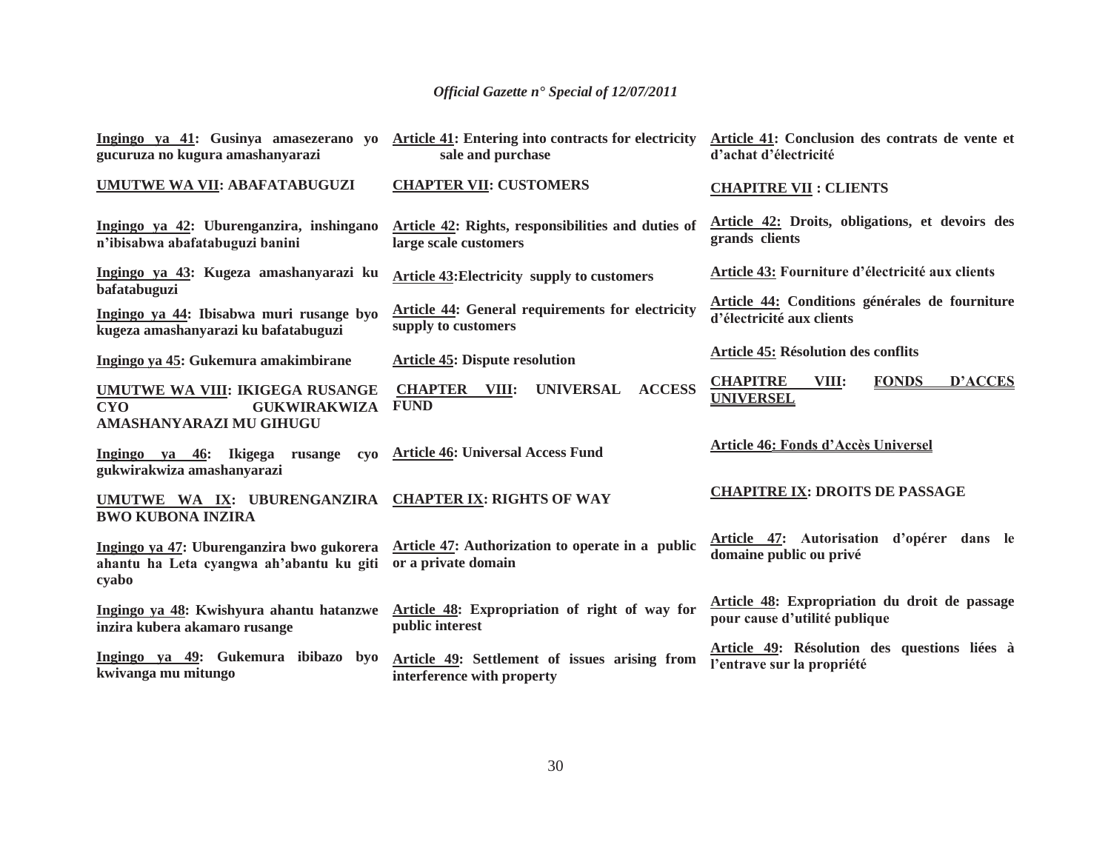| Ingingo ya 41: Gusinya amasezerano yo<br>gucuruza no kugura amashanyarazi                              | Article 41: Entering into contracts for electricity<br>sale and purchase       | Article 41: Conclusion des contrats de vente et<br>d'achat d'électricité       |
|--------------------------------------------------------------------------------------------------------|--------------------------------------------------------------------------------|--------------------------------------------------------------------------------|
| <b>UMUTWE WA VII: ABAFATABUGUZI</b>                                                                    | <b>CHAPTER VII: CUSTOMERS</b>                                                  | <b>CHAPITRE VII : CLIENTS</b>                                                  |
| Ingingo ya 42: Uburenganzira, inshingano<br>n'ibisabwa abafatabuguzi banini                            | Article 42: Rights, responsibilities and duties of<br>large scale customers    | Article 42: Droits, obligations, et devoirs des<br>grands clients              |
| Ingingo ya 43: Kugeza amashanyarazi ku<br>bafatabuguzi                                                 | <b>Article 43: Electricity supply to customers</b>                             | Article 43: Fourniture d'électricité aux clients                               |
| Ingingo ya 44: Ibisabwa muri rusange byo<br>kugeza amashanyarazi ku bafatabuguzi                       | <b>Article 44: General requirements for electricity</b><br>supply to customers | Article 44: Conditions générales de fourniture<br>d'électricité aux clients    |
| Ingingo ya 45: Gukemura amakimbirane                                                                   | <b>Article 45: Dispute resolution</b>                                          | <b>Article 45: Résolution des conflits</b>                                     |
| UMUTWE WA VIII: IKIGEGA RUSANGE<br><b>GUKWIRAKWIZA</b><br><b>CYO</b><br><b>AMASHANYARAZI MU GIHUGU</b> | <b>UNIVERSAL</b><br><b>ACCESS</b><br><b>CHAPTER VIII:</b><br><b>FUND</b>       | <b>CHAPITRE</b><br>VIII:<br><b>FONDS</b><br><b>D'ACCES</b><br><b>UNIVERSEL</b> |
| Ingingo ya 46: Ikigega rusange cyo Article 46: Universal Access Fund<br>gukwirakwiza amashanyarazi     |                                                                                | Article 46: Fonds d'Accès Universel                                            |
| UMUTWE WA IX: UBURENGANZIRA CHAPTER IX: RIGHTS OF WAY<br><b>BWO KUBONA INZIRA</b>                      |                                                                                | <b>CHAPITRE IX: DROITS DE PASSAGE</b>                                          |
| Ingingo ya 47: Uburenganzira bwo gukorera<br>ahantu ha Leta cyangwa ah'abantu ku giti<br>cyabo         | Article 47: Authorization to operate in a public<br>or a private domain        | Article 47: Autorisation d'opérer dans le<br>domaine public ou privé           |
| Ingingo ya 48: Kwishyura ahantu hatanzwe<br>inzira kubera akamaro rusange                              | Article 48: Expropriation of right of way for<br>public interest               | Article 48: Expropriation du droit de passage<br>pour cause d'utilité publique |
| Ingingo ya 49: Gukemura ibibazo byo<br>kwivanga mu mitungo                                             | Article 49: Settlement of issues arising from<br>interference with property    | Article 49: Résolution des questions liées à<br>l'entrave sur la propriété     |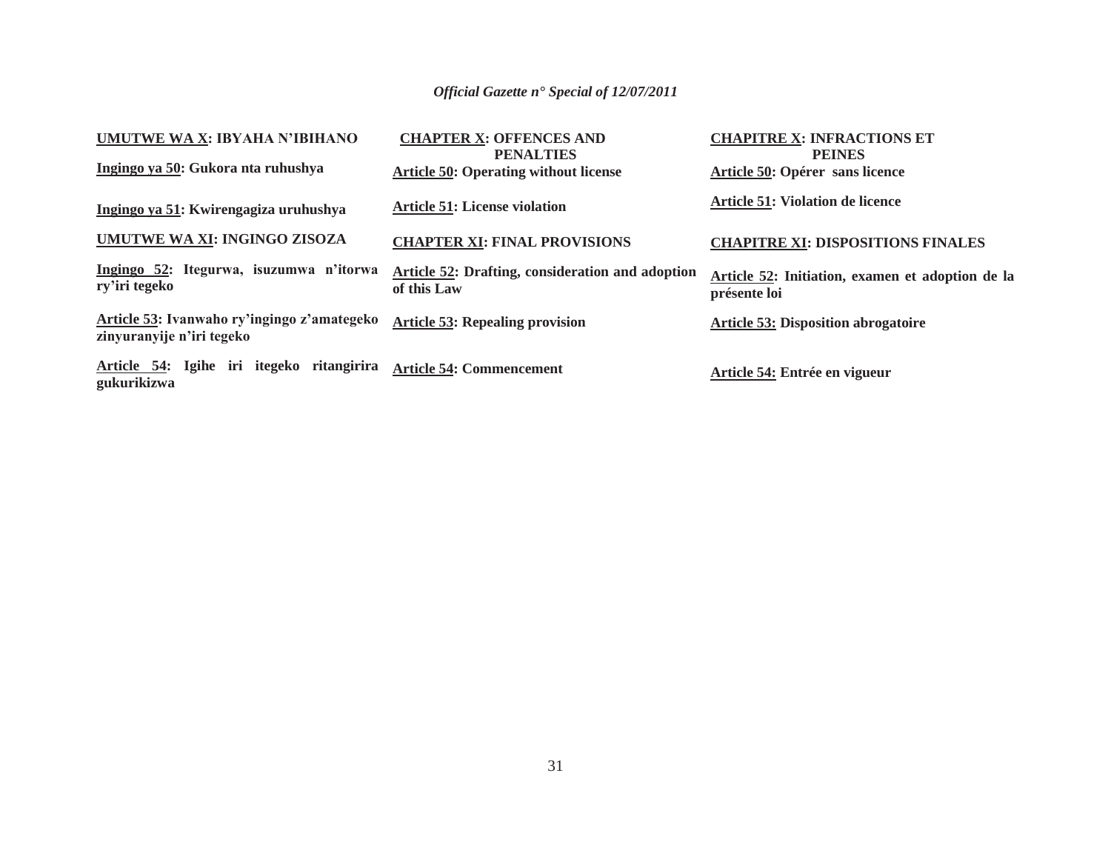| UMUTWE WA X: IBYAHA N'IBIHANO                                            | <b>CHAPTER X: OFFENCES AND</b><br><b>PENALTIES</b>              | <b>CHAPITRE X: INFRACTIONS ET</b><br><b>PEINES</b>               |
|--------------------------------------------------------------------------|-----------------------------------------------------------------|------------------------------------------------------------------|
| Ingingo ya 50: Gukora nta ruhushya                                       | <b>Article 50: Operating without license</b>                    | Article 50: Opérer sans licence                                  |
| Ingingo ya 51: Kwirengagiza uruhushya                                    | <b>Article 51: License violation</b>                            | <b>Article 51: Violation de licence</b>                          |
| UMUTWE WA XI: INGINGO ZISOZA                                             | <b>CHAPTER XI: FINAL PROVISIONS</b>                             | <b>CHAPITRE XI: DISPOSITIONS FINALES</b>                         |
| Ingingo 52: Itegurwa, isuzumwa n'itorwa<br>ry'iri tegeko                 | Article 52: Drafting, consideration and adoption<br>of this Law | Article 52: Initiation, examen et adoption de la<br>présente loi |
| Article 53: Ivanwaho ry'ingingo z'amategeko<br>zinyuranyije n'iri tegeko | <b>Article 53: Repealing provision</b>                          | <b>Article 53: Disposition abrogatoire</b>                       |
| Article 54: Igihe iri itegeko ritangirira<br>gukurikizwa                 | <b>Article 54: Commencement</b>                                 | Article 54: Entrée en vigueur                                    |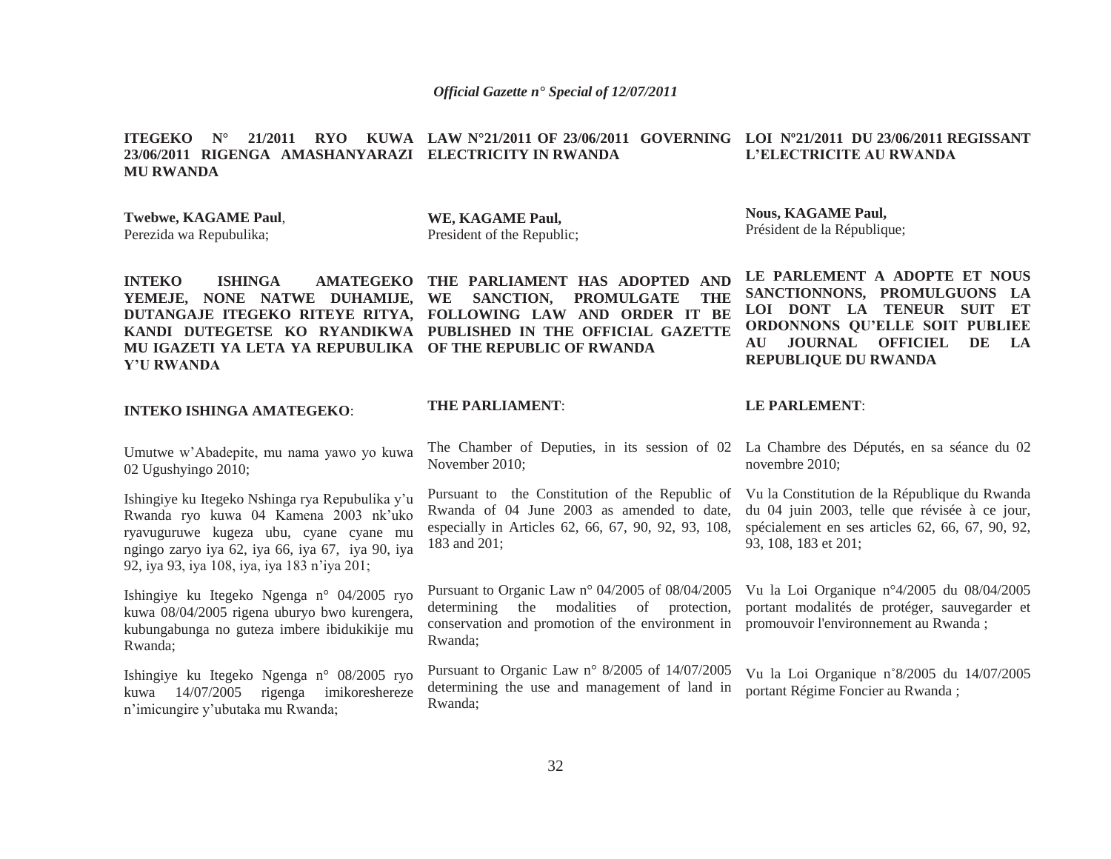#### **ITEGEKO N° 21/2011 RYO KUWA LAW N°21/2011 OF 23/06/2011 GOVERNING LOI Nº21/2011 DU 23/06/2011 REGISSANT 23/06/2011 RIGENGA AMASHANYARAZI ELECTRICITY IN RWANDA MU RWANDAL'ELECTRICITE AU RWANDA**

**Twebwe, KAGAME Paul**, Perezida wa Repubulika;

**WE, KAGAME Paul,** President of the Republic;

**Nous, KAGAME Paul,** Président de la République;

**REPUBLIQUE DU RWANDA**

**INTEKO ISHINGA AMATEGEKO THE PARLIAMENT HAS ADOPTED AND YEMEJE, NONE NATWE DUHAMIJE, WE SANCTION, PROMULGATE THE DUTANGAJE ITEGEKO RITEYE RITYA, FOLLOWING LAW AND ORDER IT BE KANDI DUTEGETSE KO RYANDIKWA PUBLISHED IN THE OFFICIAL GAZETTE MU IGAZETI YA LETA YA REPUBULIKA OF THE REPUBLIC OF RWANDAY'U RWANDA**

#### **INTEKO ISHINGA AMATEGEKO**:

Umutwe w'Abadepite, mu nama yawo yo kuwa 02 Ugushyingo 2010;

Ishingiye ku Itegeko Nshinga rya Repubulika y'u Rwanda ryo kuwa 04 Kamena 2003 nk'uko ryavuguruwe kugeza ubu, cyane cyane mu ngingo zaryo iya 62, iya 66, iya 67, iya 90, iya 92, iya 93, iya 108, iya, iya 183 n'iya 201;

Ishingiye ku Itegeko Ngenga n° 04/2005 ryo kuwa 08/04/2005 rigena uburyo bwo kurengera, kubungabunga no guteza imbere ibidukikije mu Rwanda;

Ishingiye ku Itegeko Ngenga n° 08/2005 ryo kuwa 14/07/2005 rigenga imikoreshereze <sup>n</sup>'imicungire y'ubutaka mu Rwanda;

**THE PARLIAMENT**:

The Chamber of Deputies, in its session of 02 La Chambre des Députés, en sa séance du 02 November 2010;

Pursuant to the Constitution of the Republic of Rwanda of 04 June 2003 as amended to date, especially in Articles 62, 66, 67, 90, 92, 93, 108, 183 and 201;

Pursuant to Organic Law n° 04/2005 of 08/04/2005 Vu la Loi Organique n°4/2005 du 08/04/2005 determining the modalities of protection, conservation and promotion of the environment in promouvoir l'environnement au Rwanda ; Rwanda;

Pursuant to Organic Law n° 8/2005 of 14/07/2005 determining the use and management of land in Rwanda;

#### **LE PARLEMENT**:

novembre 2010;

**LE PARLEMENT A ADOPTE ET NOUS SANCTIONNONS, PROMULGUONS LA LOI DONT LA TENEUR SUIT ET ORDONNONS QU'ELLE SOIT PUBLIEE AU JOURNAL OFFICIEL DE LA** 

Vu la Constitution de la République du Rwanda du 04 juin 2003, telle que révisée à ce jour, spécialement en ses articles 62, 66, 67, 90, 92, 93, 108, 183 et 201;

portant modalités de protéger, sauvegarder et

Vu la Loi Organique n˚8/2005 du 14/07/2005 portant Régime Foncier au Rwanda ;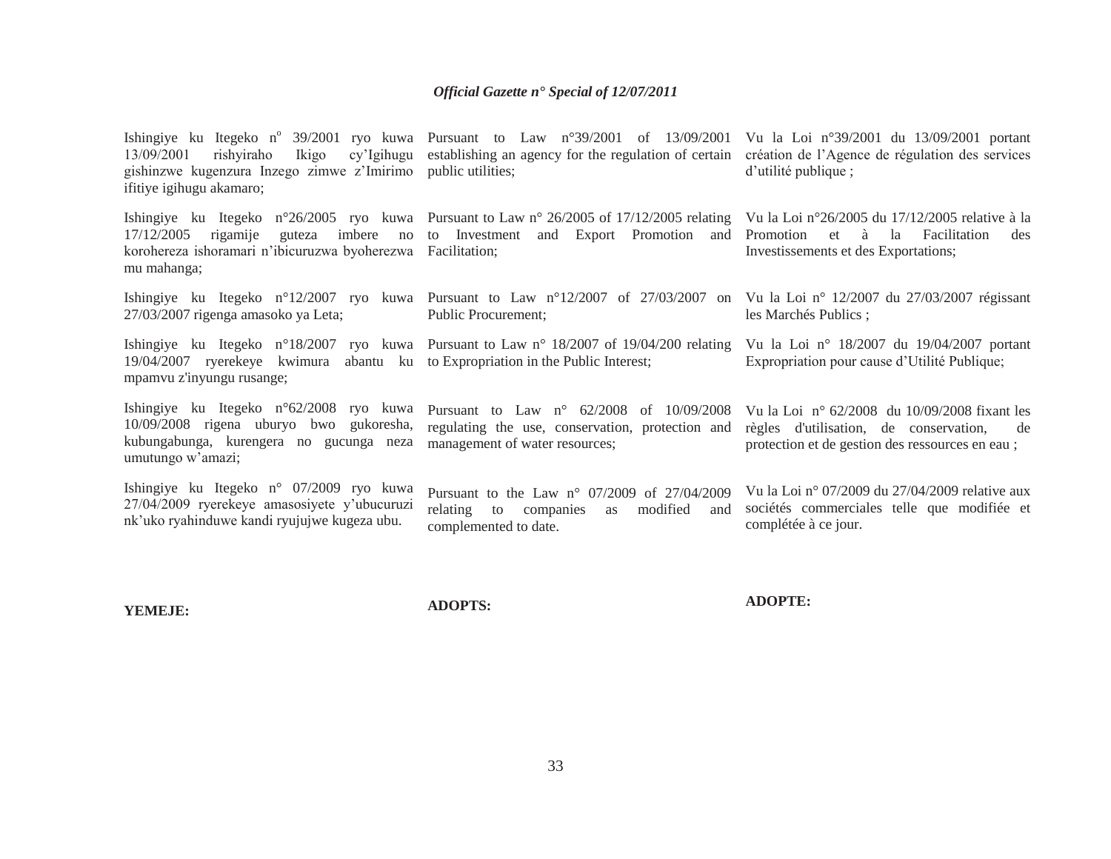| 13/09/2001<br>rishyiraho<br>Ikigo<br>gishinzwe kugenzura Inzego zimwe z'Imirimo public utilities;<br>ifitiye igihugu akamaro;                      | Ishingiye ku Itegeko n° 39/2001 ryo kuwa Pursuant to Law n°39/2001 of 13/09/2001 Vu la Loi n°39/2001 du 13/09/2001 portant<br>cy'lgihugu establishing an agency for the regulation of certain                 | création de l'Agence de régulation des services<br>d'utilité publique ;                                                                                    |
|----------------------------------------------------------------------------------------------------------------------------------------------------|---------------------------------------------------------------------------------------------------------------------------------------------------------------------------------------------------------------|------------------------------------------------------------------------------------------------------------------------------------------------------------|
| 17/12/2005<br>korohereza ishoramari n'ibicuruzwa byoherezwa Facilitation;<br>mu mahanga;                                                           | Ishingiye ku Itegeko n°26/2005 ryo kuwa Pursuant to Law n° 26/2005 of 17/12/2005 relating Vu la Loi n°26/2005 du 17/12/2005 relative à la<br>rigamije guteza imbere no to Investment and Export Promotion and | Promotion<br>et à la<br>Facilitation<br>des<br>Investissements et des Exportations;                                                                        |
| 27/03/2007 rigenga amasoko ya Leta;                                                                                                                | Ishingiye ku Itegeko n°12/2007 ryo kuwa Pursuant to Law n°12/2007 of 27/03/2007 on Vu la Loi n° 12/2007 du 27/03/2007 régissant<br>Public Procurement;                                                        | les Marchés Publics;                                                                                                                                       |
| 19/04/2007 ryerekeye kwimura abantu ku to Expropriation in the Public Interest;<br>mpamvu z'inyungu rusange;                                       | Ishingiye ku Itegeko n°18/2007 ryo kuwa Pursuant to Law n° 18/2007 of 19/04/200 relating                                                                                                                      | Vu la Loi nº 18/2007 du 19/04/2007 portant<br>Expropriation pour cause d'Utilité Publique;                                                                 |
| Ishingiye ku Itegeko n°62/2008 ryo kuwa<br>10/09/2008 rigena uburyo bwo gukoresha,<br>kubungabunga, kurengera no gucunga neza<br>umutungo w'amazi; | Pursuant to Law $n^{\circ}$ 62/2008 of 10/09/2008<br>regulating the use, conservation, protection and<br>management of water resources;                                                                       | Vu la Loi $n^{\circ}$ 62/2008 du 10/09/2008 fixant les<br>règles d'utilisation, de conservation,<br>de<br>protection et de gestion des ressources en eau ; |
| Ishingiye ku Itegeko n° 07/2009 ryo kuwa<br>27/04/2009 ryerekeye amasosiyete y'ubucuruzi<br>nk'uko ryahinduwe kandi ryujujwe kugeza ubu.           | Pursuant to the Law $n^{\circ}$ 07/2009 of 27/04/2009<br>relating<br>modified<br>to companies as<br>and<br>complemented to date.                                                                              | Vu la Loi nº 07/2009 du $27/04/2009$ relative aux<br>sociétés commerciales telle que modifiée et<br>complétée à ce jour.                                   |

**YEMEJE:**

**ADOPTS:**

**ADOPTE:**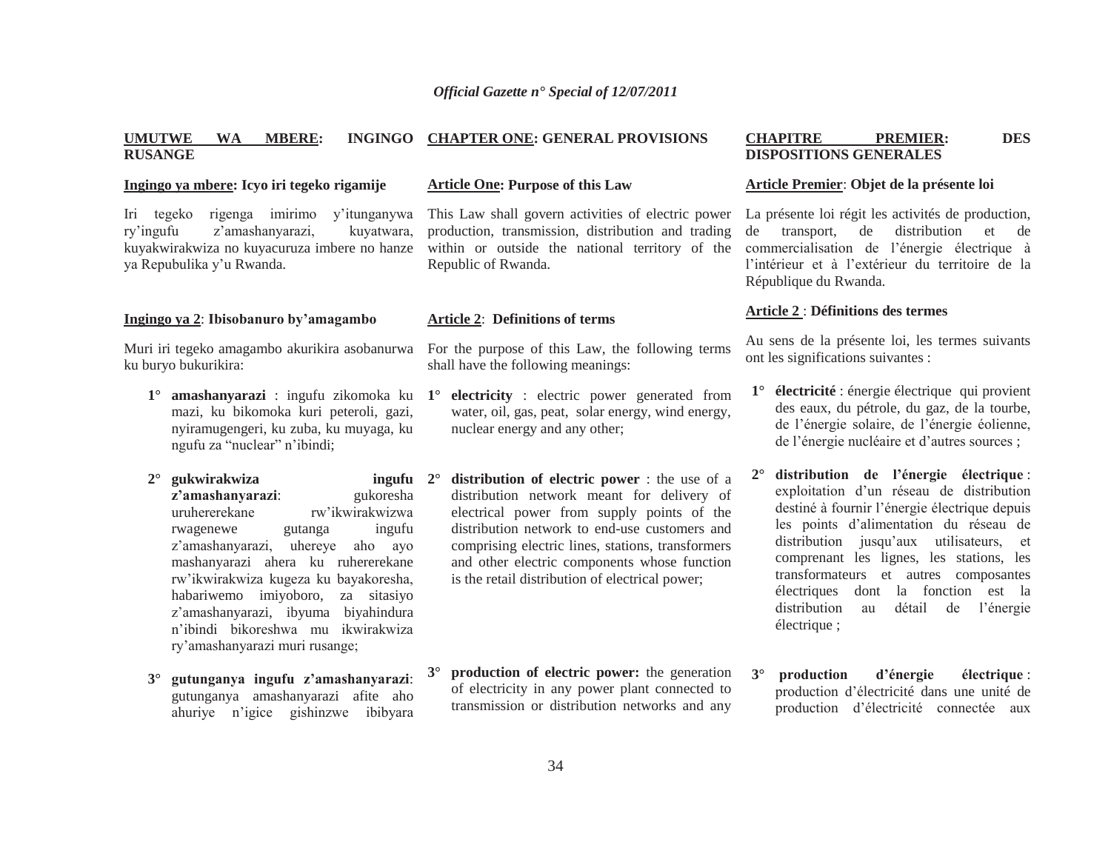#### **UMUTWE WA MBERE: INGINGO RUSANGECHAPTER ONE: GENERAL PROVISIONS**

#### **Ingingo ya mbere: Icyo iri tegeko rigamije**

Iri tegeko rigenga imirimo y'itunganywa ry'ingufu z'amashanyarazi, kuyatwara, kuyakwirakwiza no kuyacuruza imbere no hanze ya Repubulika y'u Rwanda.

## **Ingingo ya 2**: **Ibisobanuro by'amagambo**

Muri iri tegeko amagambo akurikira asobanurwa ku buryo bukurikira:

- mazi, ku bikomoka kuri peteroli, gazi, nyiramugengeri, ku zuba, ku muyaga, ku ngufu za "nuclear" n'ibindi;
- **2° gukwirakwiza ingufu <sup>z</sup>'amashanyarazi**: gukoresha uruhererekane rw'ikwirakwizwa rwagenewe gutanga ingufu <sup>z</sup>'amashanyarazi, uhereye aho ayo mashanyarazi ahera ku ruhererekane rw'ikwirakwiza kugeza ku bayakoresha, habariwemo imiyoboro, za sitasiyo <sup>z</sup>'amashanyarazi, ibyuma biyahindura n'ibindi bikoreshwa mu ikwirakwiza ry'amashanyarazi muri rusange; **2°**
- **3° gutunganya ingufu z'amashanyarazi**: gutunganya amashanyarazi afite aho ahuriye n'igice gishinzwe ibibyara

#### **Article One: Purpose of this Law**

This Law shall govern activities of electric power production, transmission, distribution and trading within or outside the national territory of the Republic of Rwanda.

# **Article 2**: **Definitions of terms**

For the purpose of this Law, the following terms shall have the following meanings:

- **1° amashanyarazi** : ingufu zikomoka ku **1° electricity** : electric power generated from water, oil, gas, peat, solar energy, wind energy, nuclear energy and any other;
	- **distribution of electric power** : the use of a distribution network meant for delivery of electrical power from supply points of the distribution network to end-use customers and comprising electric lines, stations, transformers and other electric components whose function is the retail distribution of electrical power;
	- **3° production of electric power:** the generation of electricity in any power plant connected to transmission or distribution networks and any

#### **CHAPITRE PREMIER: DES DISPOSITIONS GENERALES**

#### **Article Premier**: **Objet de la présente loi**

La présente loi régit les activités de production, de transport, de distribution et de commercialisation de l'énergie électrique à l'intérieur et à l'extérieur du territoire de la République du Rwanda.

#### **Article 2** : **Définitions des termes**

Au sens de la présente loi, les termes suivants ont les significations suivantes :

- **1° électricité** : énergie électrique qui provient des eaux, du pétrole, du gaz, de la tourbe, de l'énergie solaire, de l'énergie éolienne, de l'énergie nucléaire et d'autres sources ;
- **2° distribution de l'énergie électrique** : exploitation d'un réseau de distribution destiné à fournir l'énergie électrique depuis les points d'alimentation du réseau de distribution jusqu'aux utilisateurs, et comprenant les lignes, les stations, les transformateurs et autres composantes électriques dont la fonction est la distribution au détail de l'énergie électrique ;
- **3° production d'énergie électrique** : production d'électricité dans une unité de production d'électricité connectée aux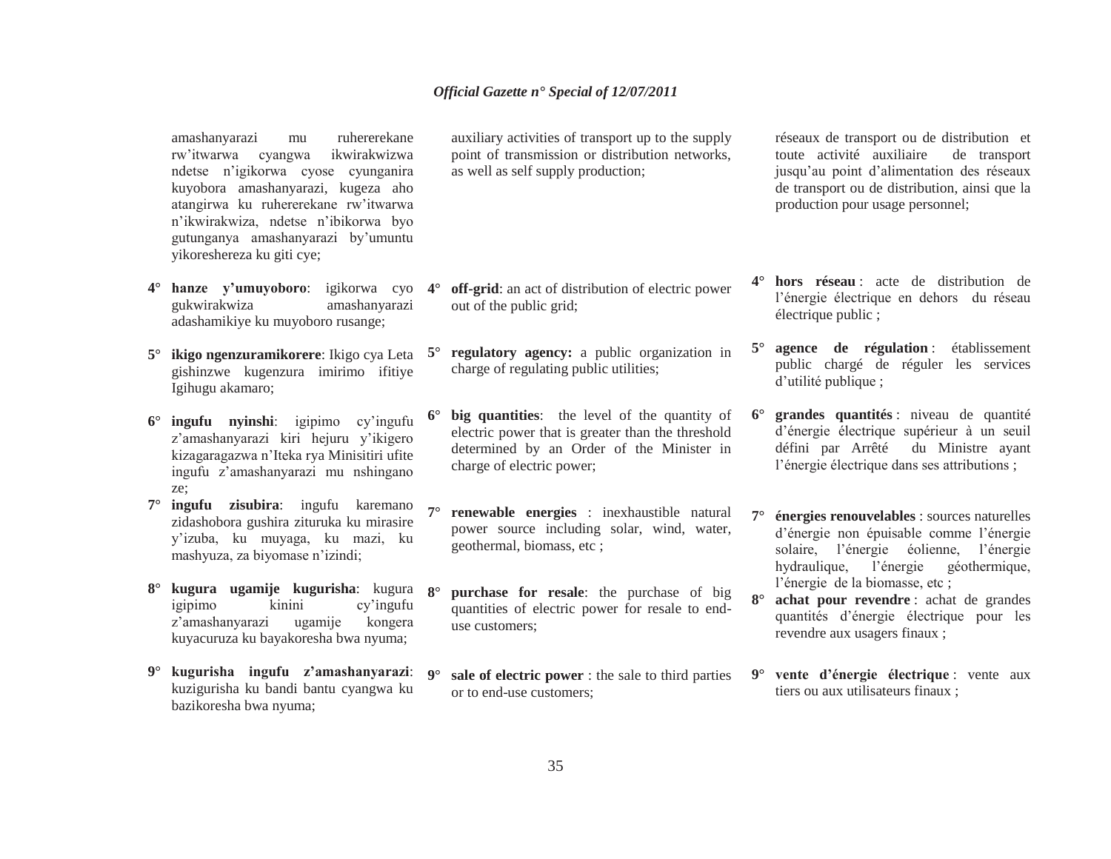amashanyarazi mu ruhererekane rw'itwarwa cyangwa ikwirakwizwa ndetse n'igikorwa cyose cyunganira kuyobora amashanyarazi, kugeza aho atangirwa ku ruhererekane rw'itwarwa <sup>n</sup>'ikwirakwiza, ndetse n'ibikorwa byo gutunganya amashanyarazi by'umuntu yikoreshereza ku giti cye;

- **4° hanze y'umuyoboro**: igikorwa cyo gukwirakwiza amashanyarazi adashamikiye ku muyoboro rusange;
- **5° ikigo ngenzuramikorere**: Ikigo cya Leta gishinzwe kugenzura imirimo ifitiye Igihugu akamaro;
- **6° ingufu nyinshi**: igipimo cy'ingufu <sup>z</sup>'amashanyarazi kiri hejuru y'ikigero kizagaragazwa n'Iteka rya Minisitiri ufite ingufu z'amashanyarazi mu nshingano ze;
- **7° ingufu zisubira**: ingufu karemano zidashobora gushira zituruka ku mirasire y'izuba, ku muyaga, ku mazi, ku mashyuza, za biyomase n'izindi;
- **8° kugura ugamije kugurisha**: kugura **8°**igipimo kinini cy'ingufu <sup>z</sup>'amashanyarazi ugamije kongera kuyacuruza ku bayakoresha bwa nyuma;
- **9° kugurisha ingufu z'amashanyarazi**: **9°**kuzigurisha ku bandi bantu cyangwa ku bazikoresha bwa nyuma;

auxiliary activities of transport up to the supply point of transmission or distribution networks, as well as self supply production;

- **4° off-grid**: an act of distribution of electric power out of the public grid;
- **5° regulatory agency:** a public organization in charge of regulating public utilities;
- **6° big quantities**: the level of the quantity of electric power that is greater than the threshold determined by an Order of the Minister in charge of electric power;
- **7° renewable energies** : inexhaustible natural power source including solar, wind, water, geothermal, biomass, etc ;
	- **purchase for resale**: the purchase of big quantities of electric power for resale to enduse customers;
	- **sale of electric power** : the sale to third parties or to end-use customers;

réseaux de transport ou de distribution et toute activité auxiliaire de transport jusqu'au point d'alimentation des réseaux de transport ou de distribution, ainsi que la production pour usage personnel;

- **4° hors réseau** : acte de distribution de l'énergie électrique en dehors du réseau électrique public ;
- **5° agence de régulation** : établissement public chargé de réguler les services d'utilité publique ;
- **6° grandes quantités** : niveau de quantité d'énergie électrique supérieur à un seuil défini par Arrêté du Ministre ayant l'énergie électrique dans ses attributions ;
- **7° énergies renouvelables** : sources naturelles d'énergie non épuisable comme l'énergie solaire, l'énergie éolienne, l'énergie hydraulique, l'énergie géothermique, l'énergie de la biomasse, etc ;
- **8° achat pour revendre** : achat de grandes quantités d'énergie électrique pour les revendre aux usagers finaux ;
- **9° vente d'énergie électrique** : vente aux tiers ou aux utilisateurs finaux ;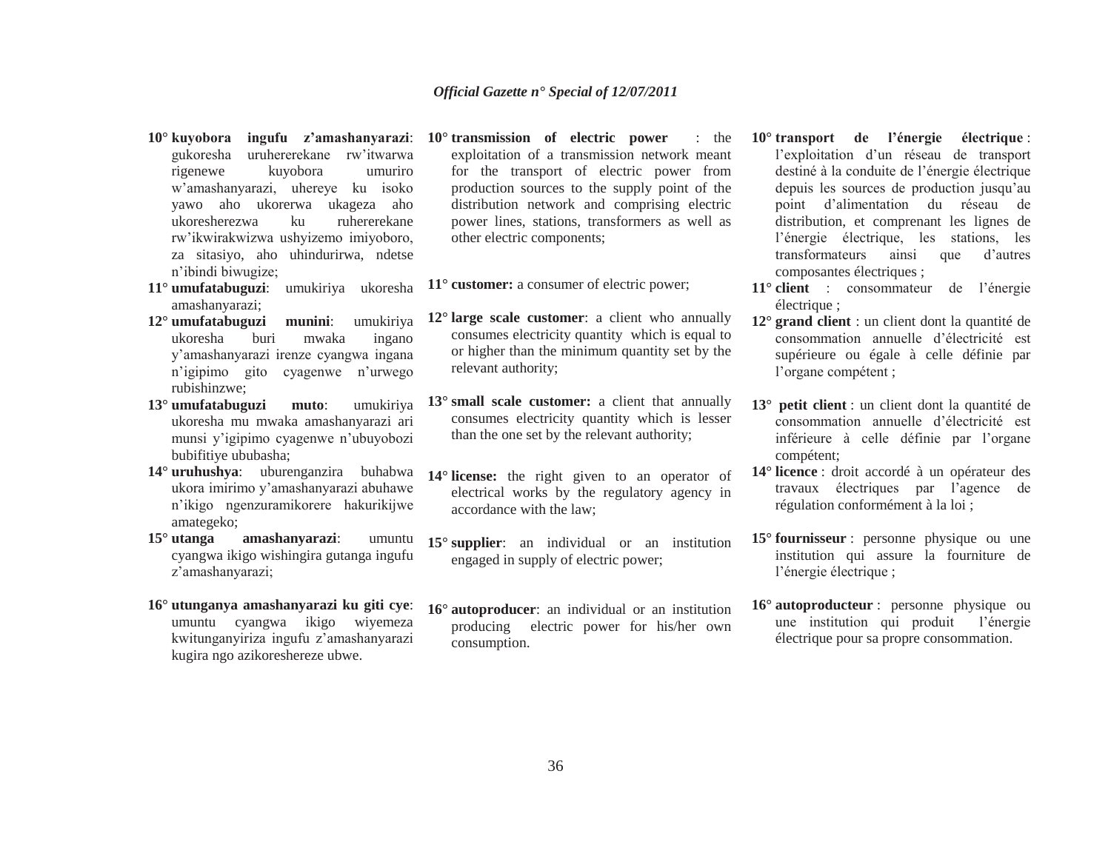- **10° kuyobora ingufu z'amashanyarazi**: gukoresha uruhererekane rw'itwarwa rigenewe kuyobora umuriro <sup>w</sup>'amashanyarazi, uhereye ku isoko yawo aho ukorerwa ukageza aho ukoresherezwa ku ruhererekane rw'ikwirakwizwa ushyizemo imiyoboro, za sitasiyo, aho uhindurirwa, ndetse <sup>n</sup>'ibindi biwugize;
- **11° umufatabuguzi**: umukiriya ukoresha amashanyarazi;
- **12° umufatabuguzi munini**: umukiriya ukoresha buri mwaka ingano y'amashanyarazi irenze cyangwa ingana <sup>n</sup>'igipimo gito cyagenwe n'urwego rubishinzwe;
- **13° umufatabuguzi muto**: umukiriya ukoresha mu mwaka amashanyarazi ari munsi y'igipimo cyagenwe n'ubuyobozi bubifitiye ububasha;
- **14° uruhushya**: uburenganzira buhabwa ukora imirimo y'amashanyarazi abuhawe <sup>n</sup>'ikigo ngenzuramikorere hakurikijwe amategeko;
- **15°amashanyarazi:** umuntu cyangwa ikigo wishingira gutanga ingufu <sup>z</sup>'amashanyarazi;
- **16° utunganya amashanyarazi ku giti cye**: umuntu cyangwa ikigo wiyemeza kwitunganyiriza ingufu z'amashanyarazi kugira ngo azikoreshereze ubwe.
- **10° transmission of electric power** : the exploitation of a transmission network meant for the transport of electric power from production sources to the supply point of the distribution network and comprising electric power lines, stations, transformers as well as other electric components;
- **11° customer:** a consumer of electric power;
- **12° large scale customer**: a client who annually consumes electricity quantity which is equal to or higher than the minimum quantity set by the relevant authority;
- **13° small scale customer:** a client that annually consumes electricity quantity which is lesser than the one set by the relevant authority;
- **14° license:** the right given to an operator of electrical works by the regulatory agency in accordance with the law;
- **15° supplier**: an individual or an institution engaged in supply of electric power;
- **16° autoproducer**: an individual or an institution producing electric power for his/her own consumption.
- **10° transport de l'énergie électrique** : l'exploitation d'un réseau de transport destiné à la conduite de l'énergie électrique depuis les sources de production jusqu'au point d'alimentation du réseau de distribution, et comprenant les lignes de l'énergie électrique, les stations, les transformateurs ainsi que d'autres composantes électriques ;
- **11° client** : consommateur de l'énergie électrique ;
- **12° grand client** : un client dont la quantité de consommation annuelle d'électricité est supérieure ou égale à celle définie par l'organe compétent ;
- **13° petit client** : un client dont la quantité de consommation annuelle d'électricité est inférieure à celle définie par l'organe compétent;
- **14° licence** : droit accordé à un opérateur des travaux électriques par l'agence de régulation conformément à la loi ;
- **15° fournisseur** : personne physique ou une institution qui assure la fourniture de l'énergie électrique ;
- **16° autoproducteur** : personne physique ou une institution qui produit l'énergie électrique pour sa propre consommation.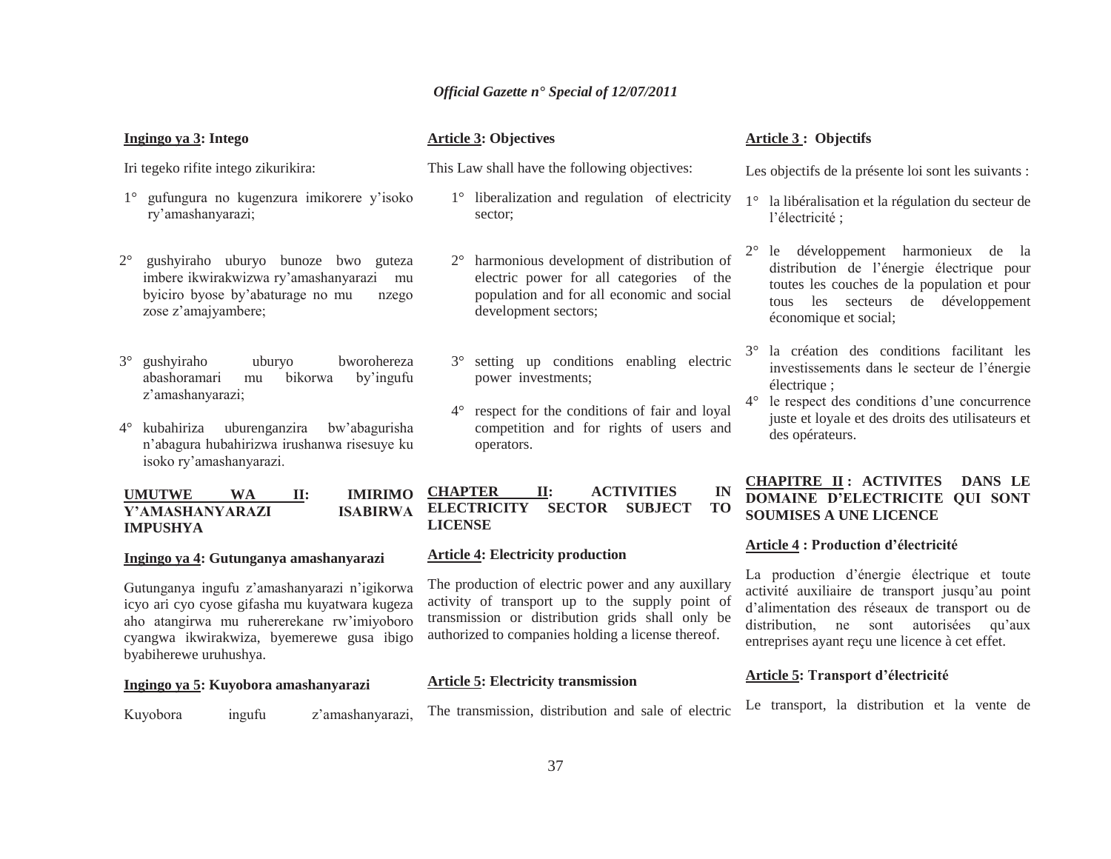| Ingingo ya 3: Intego                                                                                                                    | <b>Article 3: Objectives</b>                                                                                                                     |
|-----------------------------------------------------------------------------------------------------------------------------------------|--------------------------------------------------------------------------------------------------------------------------------------------------|
| Iri tegeko rifite intego zikurikira:                                                                                                    | This Law shall have the following objectives:                                                                                                    |
| 1° gufungura no kugenzura imikorere y'isoko<br>ry'amashanyarazi;                                                                        | 1° liberalization and regulation of electrici<br>sector;                                                                                         |
| $2^{\circ}$<br>gushyiraho uburyo bunoze bwo guteza<br>imbere ikwirakwizwa ry'amashanyarazi<br>byiciro byose by'abaturage no mu<br>nzego | $2^{\circ}$ harmonious development of distribution<br>electric power for all categories of the<br>mu<br>population and for all economic and soci |

3° gushyiraho uburyo bworohereza abashoramari mu bikorwa by'ingufu <sup>z</sup>'amashanyarazi;

zose z'amajyambere;

4° kubahiriza uburenganzira bw'abagurisha <sup>n</sup>'abagura hubahirizwa irushanwa risesuye ku isoko ry'amashanyarazi.

**UMUTWE WA II: IMIRIMO Y'AMASHANYARAZI ISABIRWA IMPUSHYA**

# **Ingingo ya 4: Gutunganya amashanyarazi**

Gutunganya ingufu z'amashanyarazi n'igikorwa icyo ari cyo cyose gifasha mu kuyatwara kugeza aho atangirwa mu ruhererekane rw'imiyoboro cyangwa ikwirakwiza, byemerewe gusa ibigo byabiherewe uruhushya.

# **Ingingo ya 5: Kuyobora amashanyarazi**

# **Article 3: Objectives**

- <sup>o</sup> liberalization and regulation of electricity
- harmonious development of distribution of electric power for all categories of the population and for all economic and social development sectors;
- 3° setting up conditions enabling electric power investments;
- 4° respect for the conditions of fair and loyal competition and for rights of users and operators.

# **CHAPTER II: ACTIVITIES IN ELECTRICITY SECTOR SUBJECT TO LICENSE**

#### **Article 4: Electricity production**

The production of electric power and any auxillary activity of transport up to the supply point of transmission or distribution grids shall only be authorized to companies holding a license thereof.

# **Article 5: Electricity transmission**

 $2^{\circ}$ 

Kuyobora ingufu z'amashanyarazi,

The transmission, distribution and sale of electric

# **Article 3 : Objectifs**

Les objectifs de la présente loi sont les suivants :

- 1° la libéralisation et la régulation du secteur de l'électricité ;
- $2^{\circ}$  le développement harmonieux de la distribution de l'énergie électrique pour toutes les couches de la population et pour tous les secteurs de développement économique et social;
- 3° la création des conditions facilitant les investissements dans le secteur de l'énergie électrique ;
- 4° le respect des conditions d'une concurrence juste et loyale et des droits des utilisateurs et des opérateurs.

# **CHAPITRE II : ACTIVITES DANS LE DOMAINE D'ELECTRICITE QUI SONT SOUMISES A UNE LICENCE**

#### **Article 4 : Production d'électricité**

La production d'énergie électrique et toute activité auxiliaire de transport jusqu'au point d'alimentation des réseaux de transport ou de distribution, ne sont autorisées qu'aux entreprises ayant reçu une licence à cet effet.

# **Article 5: Transport d'électricité**

Le transport, la distribution et la vente de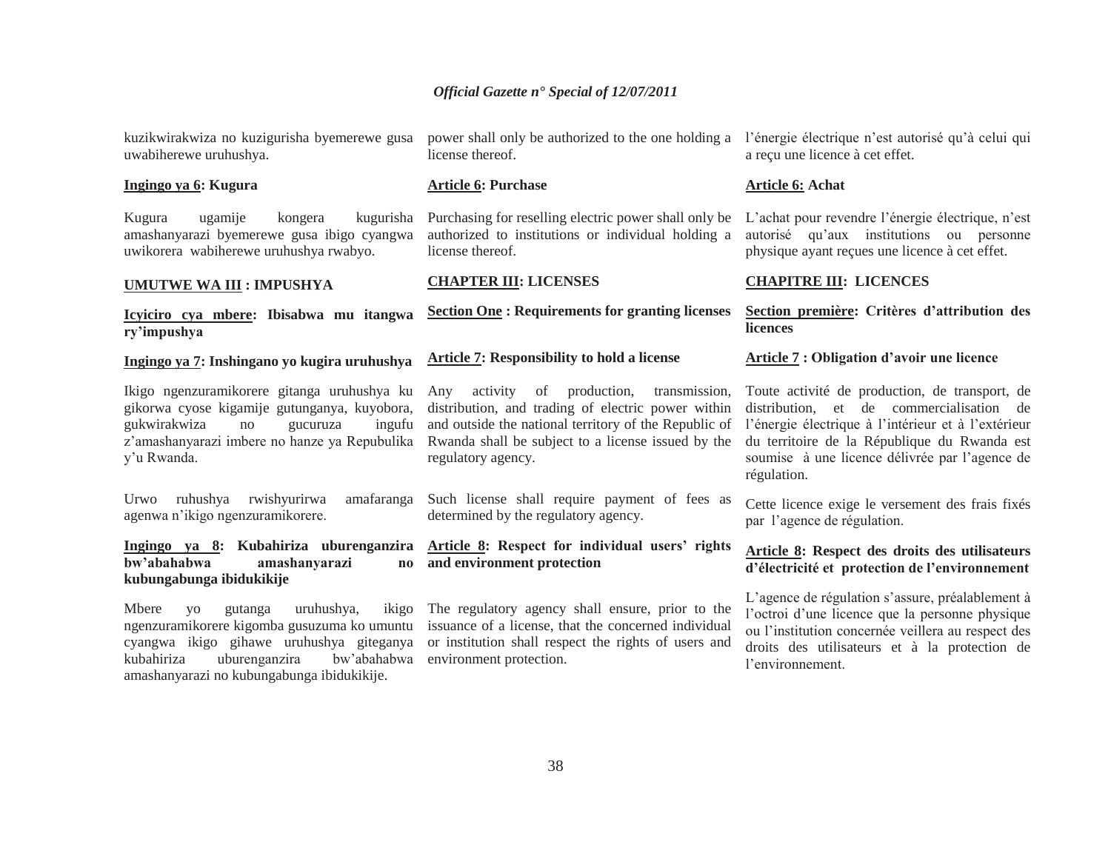kuzikwirakwiza no kuzigurisha byemerewe gusa uwabiherewe uruhushya.

#### **Ingingo ya 6: Kugura**

Kugura ugamije kongera kugurisha amashanyarazi byemerewe gusa ibigo cyangwa uwikorera wabiherewe uruhushya rwabyo.

#### **UMUTWE WA III : IMPUSHYA**

# **Icyiciro cya mbere: Ibisabwa mu itangwa ry'impushya**

## **Ingingo ya 7: Inshingano yo kugira uruhushya**

Ikigo ngenzuramikorere gitanga uruhushya ku gikorwa cyose kigamije gutunganya, kuyobora, gukwirakwiza no gucuruza ingufu <sup>z</sup>'amashanyarazi imbere no hanze ya Repubulika y'u Rwanda.

Urwo ruhushya rwishyurirwa amafaranga agenwa n'ikigo ngenzuramikorere.

# **Ingingo ya 8: Kubahiriza uburenganzira bw'abahabwa amashanyarazi no kubungabunga ibidukikije**

Mbere yo gutanga uruhushya, kubahiriza uburenganzira amashanyarazi no kubungabunga ibidukikije. license thereof.

#### **Article 6: Purchase**

Purchasing for reselling electric power shall only be L'achat pour revendre l'énergie électrique, n'est authorized to institutions or individual holding a license thereof.

#### **CHAPTER III: LICENSES**

#### **Section One : Requirements for granting licenses**

#### **Article 7: Responsibility to hold a license**

Any activity of production, transmission, distribution, and trading of electric power within and outside the national territory of the Republic of Rwanda shall be subject to a license issued by the regulatory agency.

Such license shall require payment of fees as determined by the regulatory agency.

# **Article 8: Respect for individual users' rights and environment protection**

ngenzuramikorere kigomba gusuzuma ko umuntu issuance of a license, that the concerned individual cyangwa ikigo gihawe uruhushya giteganya or institution shall respect the rights of users and ikigo The regulatory agency shall ensure, prior to the bw'abahabwa environment protection.

power shall only be authorized to the one holding a l'énergie électrique n'est autorisé qu'à celui qui a reçu une licence à cet effet.

#### **Article 6: Achat**

autorisé qu'aux institutions ou personne physique ayant reçues une licence à cet effet.

#### **CHAPITRE III: LICENCES**

#### **Section première: Critères d'attribution des licences**

#### **Article 7 : Obligation d'avoir une licence**

Toute activité de production, de transport, de distribution, et de commercialisation de l'énergie électrique à l'intérieur et à l'extérieur du territoire de la République du Rwanda est soumise à une licence délivrée par l'agence de régulation.

Cette licence exige le versement des frais fixés par l'agence de régulation.

# **Article 8: Respect des droits des utilisateurs d'électricité et protection de l'environnement**

L'agence de régulation s'assure, préalablement à l'octroi d'une licence que la personne physique ou l'institution concernée veillera au respect des droits des utilisateurs et à la protection de l'environnement.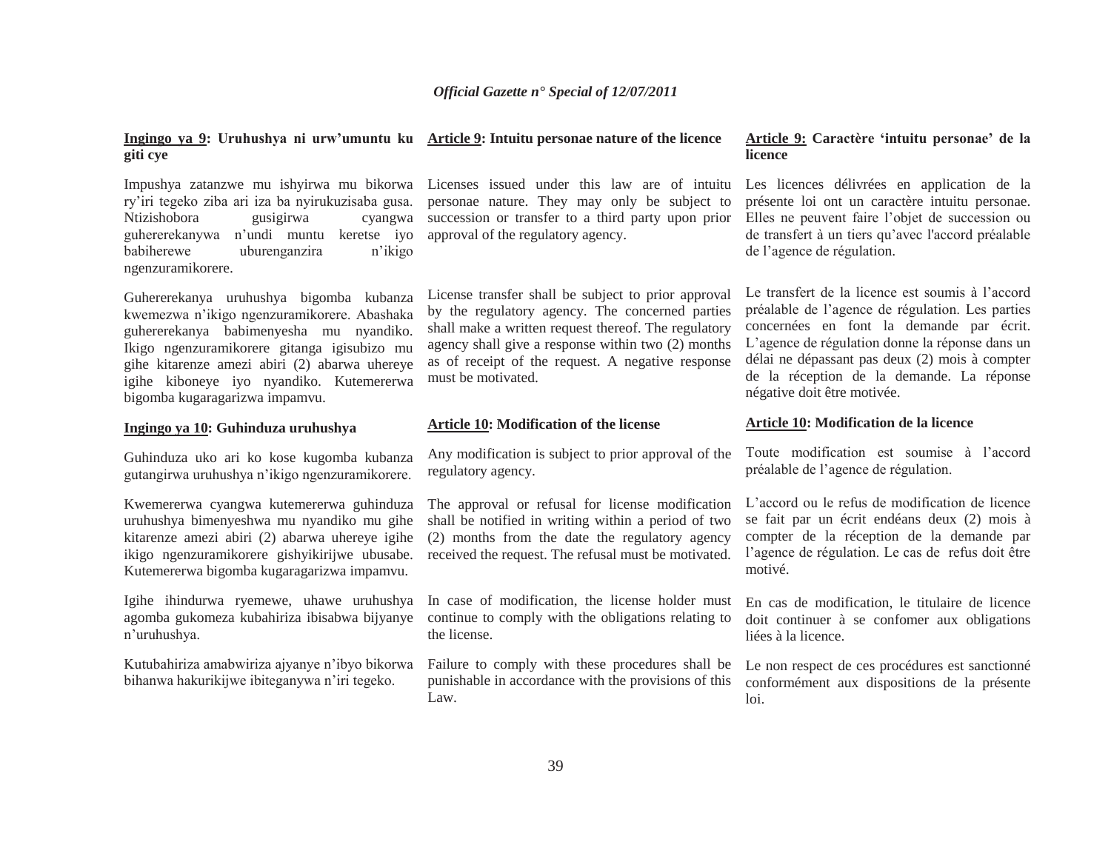#### **Ingingo ya 9: Uruhushya ni urw'umuntu ku Article 9: Intuitu personae nature of the licence giti cye**

Impushya zatanzwe mu ishyirwa mu bikorwa ry'iri tegeko ziba ari iza ba nyirukuzisaba gusa. Ntizishobora gusigirwa cyangwa guhererekanywa n'undi muntu keretse iyo babiherewe uburenganzira n'ikigo ngenzuramikorere.

Guhererekanya uruhushya bigomba kubanza kwemezwa n'ikigo ngenzuramikorere. Abashaka guhererekanya babimenyesha mu nyandiko. Ikigo ngenzuramikorere gitanga igisubizo mu gihe kitarenze amezi abiri (2) abarwa uhereye igihe kiboneye iyo nyandiko. Kutemererwa bigomba kugaragarizwa impamvu.

# **Ingingo ya 10: Guhinduza uruhushya**

Guhinduza uko ari ko kose kugomba kubanza gutangirwa uruhushya n'ikigo ngenzuramikorere.

Kwemererwa cyangwa kutemererwa guhinduza uruhushya bimenyeshwa mu nyandiko mu gihe kitarenze amezi abiri (2) abarwa uhereye igihe ikigo ngenzuramikorere gishyikirijwe ubusabe. Kutemererwa bigomba kugaragarizwa impamvu.

Igihe ihindurwa ryemewe, uhawe uruhushya agomba gukomeza kubahiriza ibisabwa bijyanye <sup>n</sup>'uruhushya.

Kutubahiriza amabwiriza ajyanye n'ibyo bikorwa bihanwa hakurikijwe ibiteganywa n'iri tegeko.

Licenses issued under this law are of intuitu personae nature. They may only be subject to succession or transfer to a third party upon prior approval of the regulatory agency.

License transfer shall be subject to prior approval by the regulatory agency. The concerned parties shall make a written request thereof. The regulatory agency shall give a response within two (2) months as of receipt of the request. A negative response must be motivated.

#### **Article 10: Modification of the license**

regulatory agency.

The approval or refusal for license modification shall be notified in writing within a period of two (2) months from the date the regulatory agency received the request. The refusal must be motivated.

In case of modification, the license holder must continue to comply with the obligations relating to the license.

Failure to comply with these procedures shall be punishable in accordance with the provisions of this Law.

#### **Article 9: Caractère 'intuitu personae' de la licence**

Les licences délivrées en application de la présente loi ont un caractère intuitu personae. Elles ne peuvent faire l'objet de succession ou de transfert à un tiers qu'avec l'accord préalable de l'agence de régulation.

Le transfert de la licence est soumis à l'accord préalable de l'agence de régulation. Les parties concernées en font la demande par écrit. L'agence de régulation donne la réponse dans un délai ne dépassant pas deux (2) mois à compter de la réception de la demande. La réponse négative doit être motivée.

#### **Article 10: Modification de la licence**

Any modification is subject to prior approval of the Toute modification est soumise à l'accord préalable de l'agence de régulation.

> L'accord ou le refus de modification de licence se fait par un écrit endéans deux (2) mois à compter de la réception de la demande par l'agence de régulation. Le cas de refus doit être motivé.

> En cas de modification, le titulaire de licence doit continuer à se confomer aux obligations liées à la licence.

> Le non respect de ces procédures est sanctionné conformément aux dispositions de la présente loi.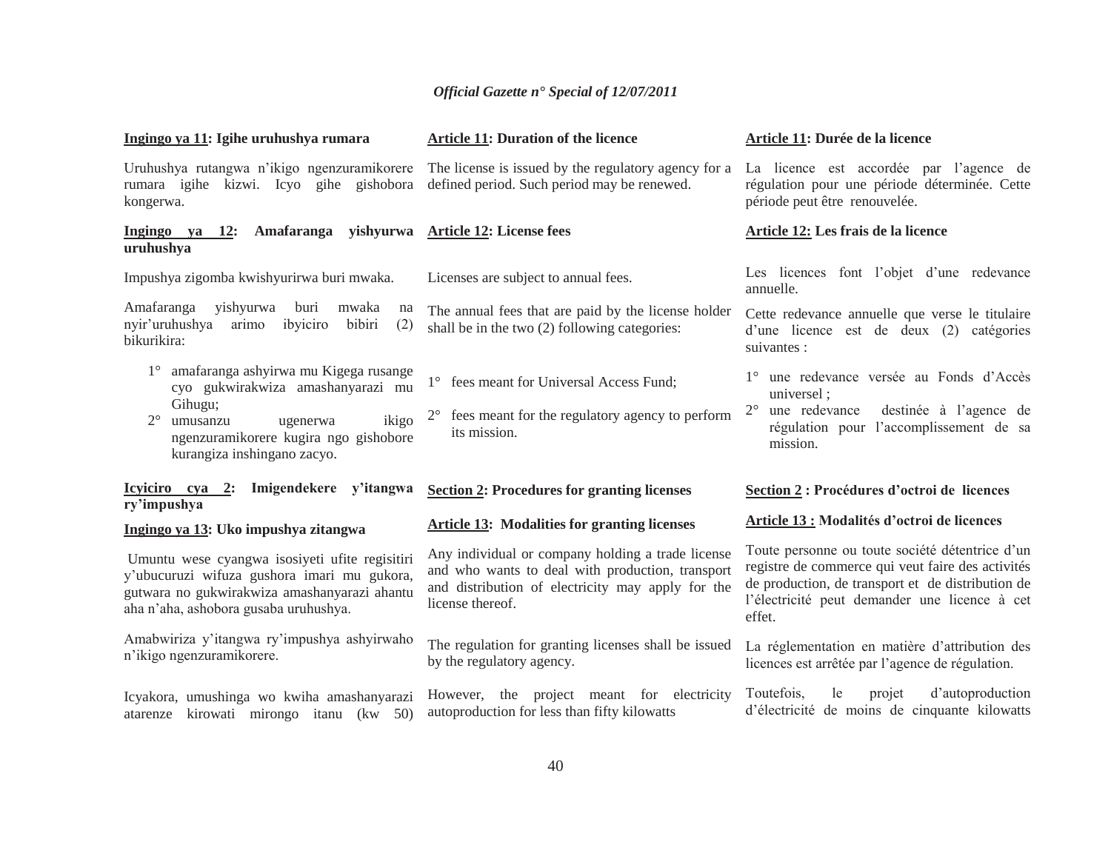| Ingingo ya 11: Igihe uruhushya rumara                                                                                                                                                  | <b>Article 11: Duration of the licence</b>                                                                                                                                     | Article 11: Durée de la licence                                                                                                                                                                                      |
|----------------------------------------------------------------------------------------------------------------------------------------------------------------------------------------|--------------------------------------------------------------------------------------------------------------------------------------------------------------------------------|----------------------------------------------------------------------------------------------------------------------------------------------------------------------------------------------------------------------|
| Uruhushya rutangwa n'ikigo ngenzuramikorere<br>rumara igihe kizwi. Icyo gihe gishobora<br>kongerwa.                                                                                    | The license is issued by the regulatory agency for a<br>defined period. Such period may be renewed.                                                                            | La licence est accordée par l'agence de<br>régulation pour une période déterminée. Cette<br>période peut être renouvelée.                                                                                            |
| Ingingo ya 12:<br>Amafaranga<br>uruhushya                                                                                                                                              | yishyurwa Article 12: License fees                                                                                                                                             | Article 12: Les frais de la licence                                                                                                                                                                                  |
| Impushya zigomba kwishyurirwa buri mwaka.                                                                                                                                              | Licenses are subject to annual fees.                                                                                                                                           | Les licences font l'objet d'une redevance<br>annuelle.                                                                                                                                                               |
| Amafaranga<br>yishyurwa<br>buri<br>mwaka<br>na<br>nyir'uruhushya<br>arimo<br>ibyiciro<br>bibiri<br>(2)<br>bikurikira:                                                                  | The annual fees that are paid by the license holder<br>shall be in the two (2) following categories:                                                                           | Cette redevance annuelle que verse le titulaire<br>d'une licence est de deux (2) catégories<br>suivantes :                                                                                                           |
| amafaranga ashyirwa mu Kigega rusange<br>cyo gukwirakwiza amashanyarazi mu                                                                                                             | 1° fees meant for Universal Access Fund;                                                                                                                                       | 1° une redevance versée au Fonds d'Accès<br>universel:                                                                                                                                                               |
| Gihugu;<br>ikigo<br>$2^{\circ}$<br>umusanzu<br>ugenerwa<br>ngenzuramikorere kugira ngo gishobore<br>kurangiza inshingano zacyo.                                                        | fees meant for the regulatory agency to perform<br>its mission.                                                                                                                | $2^{\circ}$<br>une redevance<br>destinée à l'agence de<br>régulation pour l'accomplissement de sa<br>mission.                                                                                                        |
| Icyiciro cya 2: Imigendekere y'itangwa<br>ry'impushya                                                                                                                                  | <b>Section 2: Procedures for granting licenses</b>                                                                                                                             | Section 2 : Procédures d'octroi de licences                                                                                                                                                                          |
| Ingingo ya 13: Uko impushya zitangwa                                                                                                                                                   | <b>Article 13: Modalities for granting licenses</b>                                                                                                                            | <b>Article 13 : Modalités d'octroi de licences</b>                                                                                                                                                                   |
| Umuntu wese cyangwa isosiyeti ufite regisitiri<br>y'ubucuruzi wifuza gushora imari mu gukora,<br>gutwara no gukwirakwiza amashanyarazi ahantu<br>aha n'aha, ashobora gusaba uruhushya. | Any individual or company holding a trade license<br>and who wants to deal with production, transport<br>and distribution of electricity may apply for the<br>license thereof. | Toute personne ou toute société détentrice d'un<br>registre de commerce qui veut faire des activités<br>de production, de transport et de distribution de<br>l'électricité peut demander une licence à cet<br>effet. |
| Amabwiriza y'itangwa ry'impushya ashyirwaho<br>n'ikigo ngenzuramikorere.                                                                                                               | The regulation for granting licenses shall be issued<br>by the regulatory agency.                                                                                              | La réglementation en matière d'attribution des<br>licences est arrêtée par l'agence de régulation.                                                                                                                   |
| Icyakora, umushinga wo kwiha amashanyarazi<br>atarenze kirowati mirongo itanu (kw 50)                                                                                                  | However, the project meant for electricity<br>autoproduction for less than fifty kilowatts                                                                                     | Toutefois,<br>d'autoproduction<br>le<br>projet<br>d'électricité de moins de cinquante kilowatts                                                                                                                      |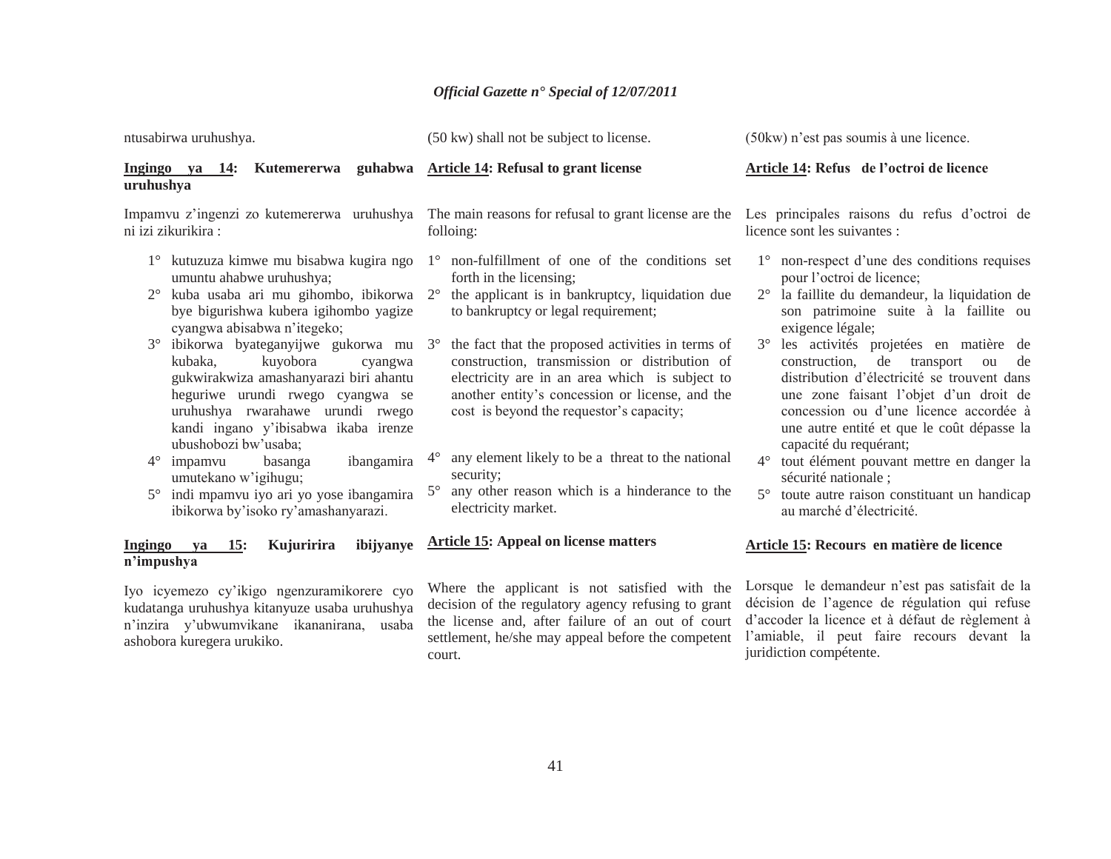| ntusabirwa uruhushya.                                                                                                                                                                                                                                                                                                                                                                                                                                                                                                                                                                                                     | (50 kw) shall not be subject to license.                                                                                                                                                                                                                                                                                                                                                                                                                                                                                                                                                                      | (50 kw) n'est pas soumis à une licence.                                                                                                                                                                                                                                                                                                                                                                                                                                                                                                                                                                                                                                                        |
|---------------------------------------------------------------------------------------------------------------------------------------------------------------------------------------------------------------------------------------------------------------------------------------------------------------------------------------------------------------------------------------------------------------------------------------------------------------------------------------------------------------------------------------------------------------------------------------------------------------------------|---------------------------------------------------------------------------------------------------------------------------------------------------------------------------------------------------------------------------------------------------------------------------------------------------------------------------------------------------------------------------------------------------------------------------------------------------------------------------------------------------------------------------------------------------------------------------------------------------------------|------------------------------------------------------------------------------------------------------------------------------------------------------------------------------------------------------------------------------------------------------------------------------------------------------------------------------------------------------------------------------------------------------------------------------------------------------------------------------------------------------------------------------------------------------------------------------------------------------------------------------------------------------------------------------------------------|
| Ingingo ya 14: Kutemererwa guhabwa Article 14: Refusal to grant license<br>uruhushya                                                                                                                                                                                                                                                                                                                                                                                                                                                                                                                                      |                                                                                                                                                                                                                                                                                                                                                                                                                                                                                                                                                                                                               | Article 14: Refus de l'octroi de licence                                                                                                                                                                                                                                                                                                                                                                                                                                                                                                                                                                                                                                                       |
| Impamvu z'ingenzi zo kutemererwa uruhushya<br>ni izi zikurikira:                                                                                                                                                                                                                                                                                                                                                                                                                                                                                                                                                          | The main reasons for refusal to grant license are the Les principales raisons du refus d'octroi de<br>folloing:                                                                                                                                                                                                                                                                                                                                                                                                                                                                                               | licence sont les suivantes :                                                                                                                                                                                                                                                                                                                                                                                                                                                                                                                                                                                                                                                                   |
| kutuzuza kimwe mu bisabwa kugira ngo<br>umuntu ahabwe uruhushya;<br>kuba usaba ari mu gihombo, ibikorwa<br>$2^{\circ}$<br>bye bigurishwa kubera igihombo yagize<br>cyangwa abisabwa n'itegeko;<br>3° ibikorwa byateganyijwe gukorwa mu<br>kuyobora<br>kubaka,<br>cyangwa<br>gukwirakwiza amashanyarazi biri ahantu<br>heguriwe urundi rwego cyangwa se<br>uruhushya rwarahawe urundi rwego<br>kandi ingano y'ibisabwa ikaba irenze<br>ubushobozi bw'usaba;<br>ibangamira<br>$4^{\circ}$<br>impamvu<br>basanga<br>umutekano w'igihugu;<br>5° indi mpamvu iyo ari yo yose ibangamira<br>ibikorwa by'isoko ry'amashanyarazi. | non-fulfillment of one of the conditions set<br>$1^{\circ}$<br>forth in the licensing;<br>$2^{\circ}$<br>the applicant is in bankruptcy, liquidation due<br>to bankruptcy or legal requirement;<br>the fact that the proposed activities in terms of<br>$3^\circ$<br>construction, transmission or distribution of<br>electricity are in an area which is subject to<br>another entity's concession or license, and the<br>cost is beyond the requestor's capacity;<br>any element likely to be a threat to the national<br>security;<br>any other reason which is a hinderance to the<br>electricity market. | 1° non-respect d'une des conditions requises<br>pour l'octroi de licence;<br>la faillite du demandeur, la liquidation de<br>$2^{\circ}$<br>son patrimoine suite à la faillite ou<br>exigence légale;<br>$3^\circ$<br>les activités projetées en matière de<br>construction,<br>de transport<br>ou<br>de<br>distribution d'électricité se trouvent dans<br>une zone faisant l'objet d'un droit de<br>concession ou d'une licence accordée à<br>une autre entité et que le coût dépasse la<br>capacité du requérant;<br>$4^{\circ}$<br>tout élément pouvant mettre en danger la<br>sécurité nationale ;<br>toute autre raison constituant un handicap<br>$5^{\circ}$<br>au marché d'électricité. |
| Kujuririra<br>ibijyanye<br><b>Ingingo</b><br>15:<br>ya<br>n'impushya                                                                                                                                                                                                                                                                                                                                                                                                                                                                                                                                                      | <b>Article 15: Appeal on license matters</b>                                                                                                                                                                                                                                                                                                                                                                                                                                                                                                                                                                  | Article 15: Recours en matière de licence                                                                                                                                                                                                                                                                                                                                                                                                                                                                                                                                                                                                                                                      |
| Iyo icyemezo cy'ikigo ngenzuramikorere cyo<br>kudatanga uruhushya kitanyuze usaba uruhushya<br>n'inzira y'ubwumvikane ikananirana, usaba<br>ashobora kuregera urukiko.                                                                                                                                                                                                                                                                                                                                                                                                                                                    | Where the applicant is not satisfied with the<br>decision of the regulatory agency refusing to grant<br>the license and, after failure of an out of court<br>settlement, he/she may appeal before the competent                                                                                                                                                                                                                                                                                                                                                                                               | Lorsque le demandeur n'est pas satisfait de la<br>décision de l'agence de régulation qui refuse<br>d'accoder la licence et à défaut de règlement à<br>l'amiable, il peut faire recours devant la                                                                                                                                                                                                                                                                                                                                                                                                                                                                                               |

juridiction compétente.

court.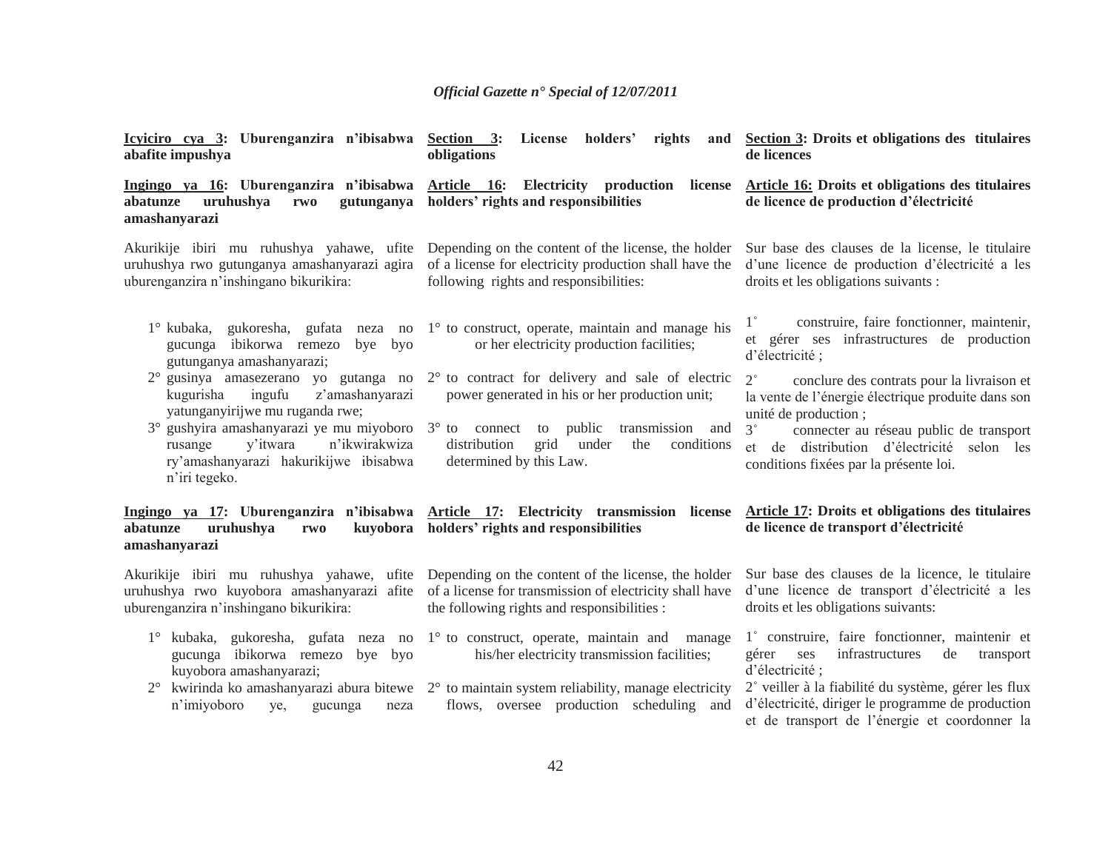| Icyiciro cya 3: Uburenganzira n'ibisabwa Section 3:<br>abafite impushya                                                                                                                                                                                                                                   | License holders'<br>rights<br>and<br>obligations                                                                                                                                                                                                   | Section 3: Droits et obligations des titulaires<br>de licences                                                                                                                                                                                                                            |
|-----------------------------------------------------------------------------------------------------------------------------------------------------------------------------------------------------------------------------------------------------------------------------------------------------------|----------------------------------------------------------------------------------------------------------------------------------------------------------------------------------------------------------------------------------------------------|-------------------------------------------------------------------------------------------------------------------------------------------------------------------------------------------------------------------------------------------------------------------------------------------|
| uruhushya<br>rwo<br>abatunze<br>gutunganya<br>amashanyarazi                                                                                                                                                                                                                                               | Ingingo ya 16: Uburenganzira n'ibisabwa Article 16: Electricity production license Article 16: Droits et obligations des titulaires<br>holders' rights and responsibilities                                                                        | de licence de production d'électricité                                                                                                                                                                                                                                                    |
| uburenganzira n'inshingano bikurikira:                                                                                                                                                                                                                                                                    | Akurikije ibiri mu ruhushya yahawe, ufite Depending on the content of the license, the holder<br>uruhushya rwo gutunganya amashanyarazi agira of a license for electricity production shall have the<br>following rights and responsibilities:     | Sur base des clauses de la license, le titulaire<br>d'une licence de production d'électricité a les<br>droits et les obligations suivants :                                                                                                                                               |
| gucunga ibikorwa remezo<br>bye byo<br>gutunganya amashanyarazi;                                                                                                                                                                                                                                           | $1^{\circ}$ kubaka, gukoresha, gufata neza no $1^{\circ}$ to construct, operate, maintain and manage his<br>or her electricity production facilities;                                                                                              | $1^{\circ}$<br>construire, faire fonctionner, maintenir,<br>et gérer ses infrastructures de production<br>d'électricité;                                                                                                                                                                  |
| 2° gusinya amasezerano yo gutanga no<br>ingufu<br>z'amashanyarazi<br>kugurisha<br>yatunganyirijwe mu ruganda rwe;<br>$3^{\circ}$ gushyira amashanyarazi ye mu miyoboro $3^{\circ}$ to connect to public<br>n'ikwirakwiza<br>y'itwara<br>rusange<br>ry'amashanyarazi hakurikijwe ibisabwa<br>n'iri tegeko. | 2° to contract for delivery and sale of electric<br>power generated in his or her production unit;<br>transmission and<br>distribution<br>grid<br>conditions<br>under<br>the<br>determined by this Law.                                            | $2^{\circ}$<br>conclure des contrats pour la livraison et<br>la vente de l'énergie électrique produite dans son<br>unité de production;<br>$3^{\circ}$<br>connecter au réseau public de transport<br>et de distribution d'électricité selon les<br>conditions fixées par la présente loi. |
| uruhushya<br>abatunze<br>rwo<br>amashanyarazi                                                                                                                                                                                                                                                             | Ingingo ya 17: Uburenganzira n'ibisabwa Article 17: Electricity transmission license<br>kuyobora holders' rights and responsibilities                                                                                                              | <b>Article 17: Droits et obligations des titulaires</b><br>de licence de transport d'électricité                                                                                                                                                                                          |
| uburenganzira n'inshingano bikurikira:                                                                                                                                                                                                                                                                    | Akurikije ibiri mu ruhushya yahawe, ufite Depending on the content of the license, the holder<br>uruhushya rwo kuyobora amashanyarazi afite of a license for transmission of electricity shall have<br>the following rights and responsibilities : | Sur base des clauses de la licence, le titulaire<br>d'une licence de transport d'électricité a les<br>droits et les obligations suivants:                                                                                                                                                 |
| 1° kubaka, gukoresha, gufata neza no 1° to construct, operate, maintain and<br>gucunga ibikorwa remezo<br>bye byo<br>kuyobora amashanyarazi;<br>$2^{\circ}$<br>n'imiyoboro<br>ye,<br>gucunga<br>neza                                                                                                      | manage<br>his/her electricity transmission facilities;<br>kwirinda ko amashanyarazi abura bitewe 2° to maintain system reliability, manage electricity<br>flows, oversee production scheduling and                                                 | 1° construire, faire fonctionner, maintenir et<br>infrastructures<br>de<br>gérer<br>ses<br>transport<br>d'électricité ;<br>2° veiller à la fiabilité du système, gérer les flux<br>d'électricité, diriger le programme de production<br>et de transport de l'énergie et coordonner la     |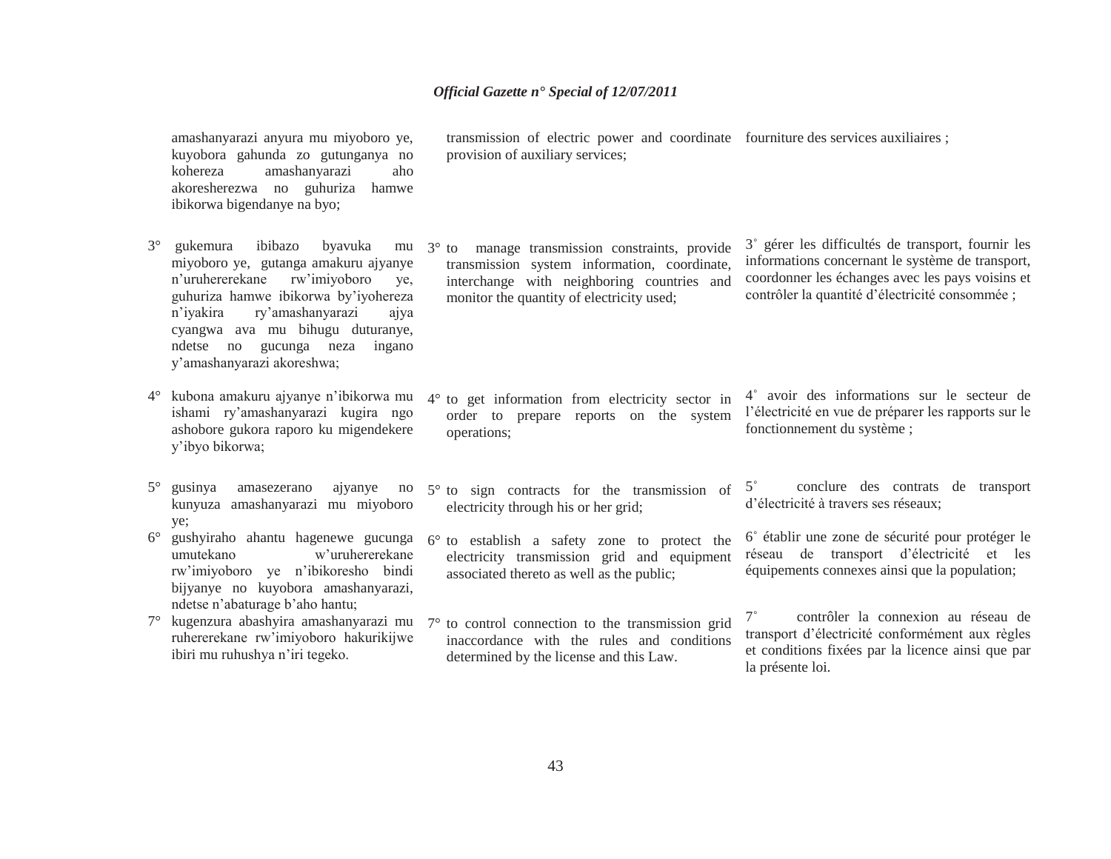amashanyarazi anyura mu miyoboro ye, kuyobora gahunda zo gutunganya no kohereza amashanyarazi aho akoresherezwa no guhuriza hamwe ibikorwa bigendanye na byo;

- 3° gukemura ibibazo byavuka mu miyoboro ye, gutanga amakuru ajyanye <sup>n</sup>'uruhererekane rw'imiyoboro ye, guhuriza hamwe ibikorwa by'iyohereza <sup>n</sup>'iyakira ry'amashanyarazi ajya cyangwa ava mu bihugu duturanye, ndetse no gucunga neza ingano y'amashanyarazi akoreshwa;
- 4° kubona amakuru ajyanye n'ibikorwa mu ishami ry'amashanyarazi kugira ngo ashobore gukora raporo ku migendekere y'ibyo bikorwa;
- 5<sup>°</sup> gusinya amasezerano ajyanye no kunyuza amashanyarazi mu miyoboro ye;
- $6^{\circ}$  gushyiraho ahantu hagenewe gucunga umutekano w'uruhererekane rw'imiyoboro ye n'ibikoresho bindi bijyanye no kuyobora amashanyarazi, ndetse n'abaturage b'aho hantu;
- 7° kugenzura abashyira amashanyarazi mu ruhererekane rw'imiyoboro hakurikijwe ibiri mu ruhushya n'iri tegeko.

transmission of electric power and coordinate fourniture des services auxiliaires ; provision of auxiliary services;

3° to manage transmission constraints, provide transmission system information, coordinate, interchange with neighboring countries and monitor the quantity of electricity used;

3˚ gérer les difficultés de transport, fournir les informations concernant le système de transport, coordonner les échanges avec les pays voisins et contrôler la quantité d'électricité consommée ;

- 4° to get information from electricity sector in order to prepare reports on the system operations;
- 5° to sign contracts for the transmission of electricity through his or her grid;
- 6° to establish a safety zone to protect the electricity transmission grid and equipment associated thereto as well as the public;
- 7° to control connection to the transmission grid inaccordance with the rules and conditions determined by the license and this Law.
- 4˚ avoir des informations sur le secteur de l'électricité en vue de préparer les rapports sur le fonctionnement du système ;
- $5^\circ$  conclure des contrats de transport d'électricité à travers ses réseaux;
- 6˚ établir une zone de sécurité pour protéger le réseau de transport d'électricité et les équipements connexes ainsi que la population;
- 7˚ contrôler la connexion au réseau de transport d'électricité conformément aux règles et conditions fixées par la licence ainsi que par la présente loi.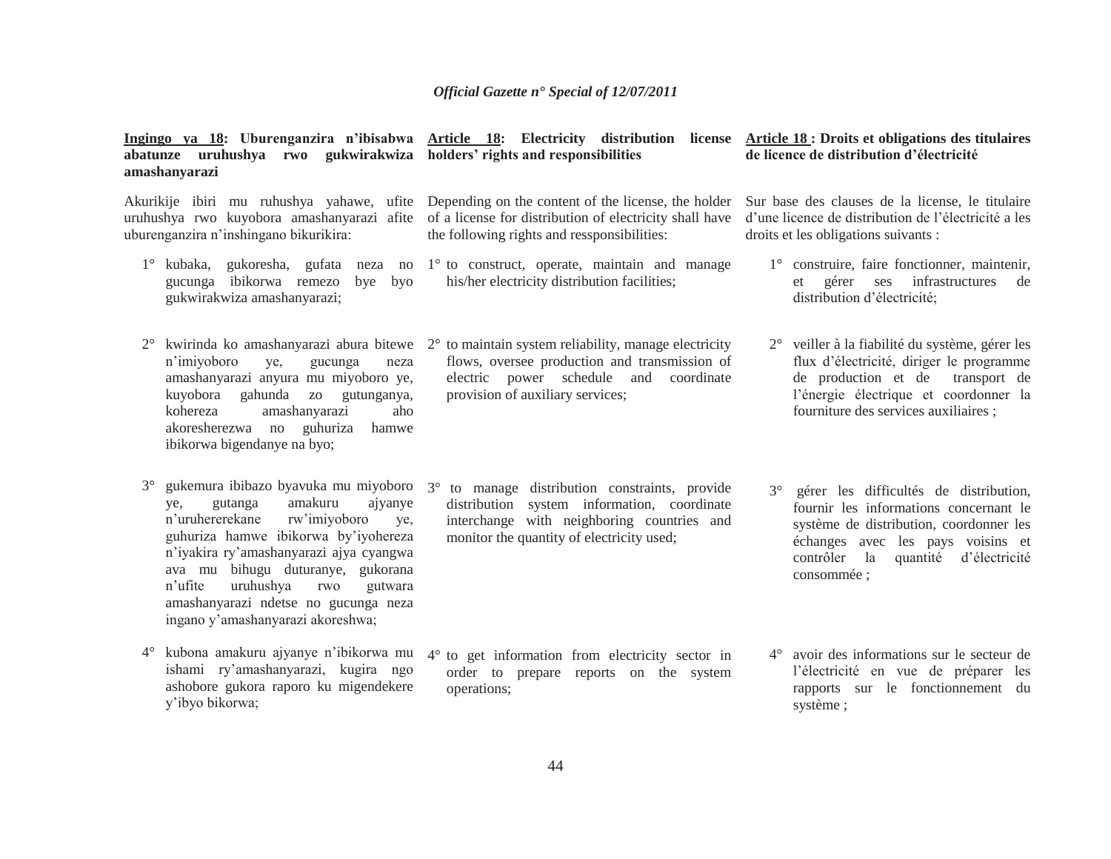| abatunze uruhushya rwo gukwirakwiza holders' rights and responsibilities<br>amashanyarazi                                                                                                                                                                                                                                                                                          | Ingingo ya 18: Uburenganzira n'ibisabwa Article 18: Electricity distribution license                                                                                                                                                 | Article 18 : Droits et obligations des titulaires<br>de licence de distribution d'électricité                                                                                                                                       |
|------------------------------------------------------------------------------------------------------------------------------------------------------------------------------------------------------------------------------------------------------------------------------------------------------------------------------------------------------------------------------------|--------------------------------------------------------------------------------------------------------------------------------------------------------------------------------------------------------------------------------------|-------------------------------------------------------------------------------------------------------------------------------------------------------------------------------------------------------------------------------------|
| Akurikije ibiri mu ruhushya yahawe, ufite<br>uruhushya rwo kuyobora amashanyarazi afite<br>uburenganzira n'inshingano bikurikira:                                                                                                                                                                                                                                                  | Depending on the content of the license, the holder<br>of a license for distribution of electricity shall have<br>the following rights and ressponsibilities:                                                                        | Sur base des clauses de la license, le titulaire<br>d'une licence de distribution de l'électricité a les<br>droits et les obligations suivants :                                                                                    |
| gucunga ibikorwa remezo bye byo<br>gukwirakwiza amashanyarazi;                                                                                                                                                                                                                                                                                                                     | 1° kubaka, gukoresha, gufata neza no 1° to construct, operate, maintain and manage<br>his/her electricity distribution facilities;                                                                                                   | 1° construire, faire fonctionner, maintenir,<br>et gérer ses infrastructures<br>de<br>distribution d'électricité;                                                                                                                   |
| n'imiyoboro<br>ye,<br>gucunga<br>neza<br>amashanyarazi anyura mu miyoboro ye,<br>kuyobora gahunda zo gutunganya,<br>kohereza<br>amashanyarazi<br>aho<br>akoresherezwa no guhuriza<br>hamwe<br>ibikorwa bigendanye na byo;                                                                                                                                                          | kwirinda ko amashanyarazi abura bitewe $2^{\circ}$ to maintain system reliability, manage electricity<br>flows, oversee production and transmission of<br>electric power schedule and coordinate<br>provision of auxiliary services; | 2° veiller à la fiabilité du système, gérer les<br>flux d'électricité, diriger le programme<br>de production et de transport de<br>l'énergie électrique et coordonner la<br>fourniture des services auxiliaires;                    |
| $3^\circ$<br>gukemura ibibazo byavuka mu miyoboro<br>amakuru<br>gutanga<br>ajyanye<br>ye.<br>n'uruhererekane<br>rw'imiyoboro<br>ye,<br>guhuriza hamwe ibikorwa by'iyohereza<br>n'iyakira ry'amashanyarazi ajya cyangwa<br>ava mu bihugu duturanye, gukorana<br>n'ufite<br>uruhushya<br>rwo<br>gutwara<br>amashanyarazi ndetse no gucunga neza<br>ingano y'amashanyarazi akoreshwa; | to manage distribution constraints, provide<br>$3^\circ$<br>distribution system information, coordinate<br>interchange with neighboring countries and<br>monitor the quantity of electricity used;                                   | gérer les difficultés de distribution,<br>$3^\circ$<br>fournir les informations concernant le<br>système de distribution, coordonner les<br>échanges avec les pays voisins et<br>contrôler la quantité d'électricité<br>consommée ; |
| kubona amakuru ajyanye n'ibikorwa mu<br>$4^{\circ}$<br>ishami ry'amashanyarazi, kugira ngo<br>ashobore gukora raporo ku migendekere<br>y'ibyo bikorwa;                                                                                                                                                                                                                             | 4° to get information from electricity sector in<br>order to prepare reports on the system<br>operations;                                                                                                                            | 4° avoir des informations sur le secteur de<br>l'électricité en vue de préparer les<br>rapports sur le fonctionnement du<br>système;                                                                                                |
|                                                                                                                                                                                                                                                                                                                                                                                    | 44                                                                                                                                                                                                                                   |                                                                                                                                                                                                                                     |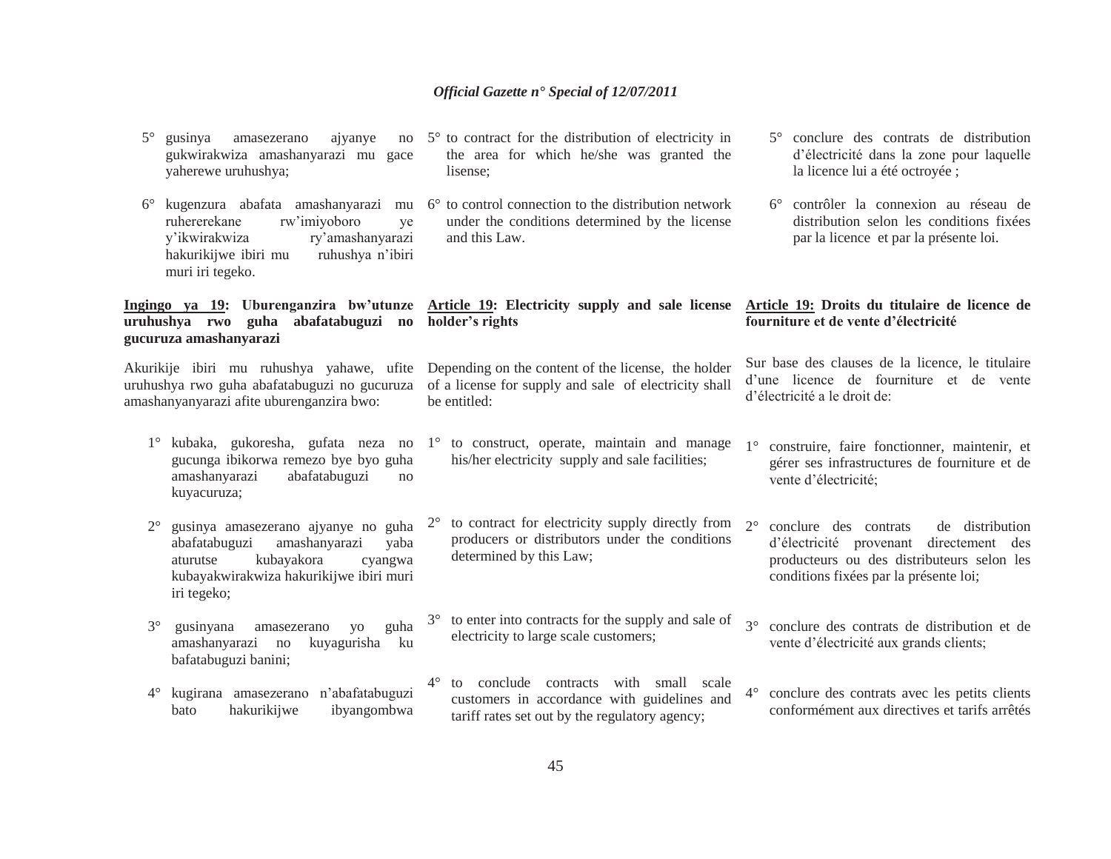| $5^\circ$   | gusinya<br>amasezerano<br>ajyanye<br>no<br>gukwirakwiza amashanyarazi mu gace<br>yaherewe uruhushya;                                                                          | 5° to contract for the distribution of electricity in<br>the area for which he/she was granted the<br>lisense:                               | conclure des contrats de distribution<br>d'électricité dans la zone pour laquelle<br>la licence lui a été octroyée;                                                                        |
|-------------|-------------------------------------------------------------------------------------------------------------------------------------------------------------------------------|----------------------------------------------------------------------------------------------------------------------------------------------|--------------------------------------------------------------------------------------------------------------------------------------------------------------------------------------------|
| $6^{\circ}$ | kugenzura abafata amashanyarazi mu<br>ruhererekane<br>rw'imiyoboro<br>ye<br>y'ikwirakwiza<br>ry'amashanyarazi<br>hakurikijwe ibiri mu<br>ruhushya n'ibiri<br>muri iri tegeko. | $6^{\circ}$ to control connection to the distribution network<br>under the conditions determined by the license<br>and this Law.             | 6° contrôler la connexion au réseau de<br>distribution selon les conditions fixées<br>par la licence et par la présente loi.                                                               |
|             | Ingingo ya 19: Uburenganzira bw'utunze<br>uruhushya rwo guha abafatabuguzi no<br>gucuruza amashanyarazi                                                                       | Article 19: Electricity supply and sale license Article 19: Droits du titulaire de licence de<br>holder's rights                             | fourniture et de vente d'électricité                                                                                                                                                       |
|             | Akurikije ibiri mu ruhushya yahawe, ufite<br>uruhushya rwo guha abafatabuguzi no gucuruza<br>amashanyanyarazi afite uburenganzira bwo:                                        | Depending on the content of the license, the holder<br>of a license for supply and sale of electricity shall<br>be entitled:                 | Sur base des clauses de la licence, le titulaire<br>d'une licence de fourniture et de vente<br>d'électricité a le droit de:                                                                |
| $1^{\circ}$ | kubaka, gukoresha, gufata neza no<br>gucunga ibikorwa remezo bye byo guha<br>amashanyarazi<br>abafatabuguzi<br>no<br>kuyacuruza;                                              | 1° to construct, operate, maintain and manage<br>his/her electricity supply and sale facilities;                                             | construire, faire fonctionner, maintenir, et<br>$1^{\circ}$<br>gérer ses infrastructures de fourniture et de<br>vente d'électricité;                                                       |
| $2^{\circ}$ | gusinya amasezerano ajyanye no guha<br>amashanyarazi<br>abafatabuguzi<br>yaba<br>kubayakora<br>aturutse<br>cyangwa<br>kubayakwirakwiza hakurikijwe ibiri muri<br>iri tegeko;  | to contract for electricity supply directly from<br>$2^{\circ}$<br>producers or distributors under the conditions<br>determined by this Law; | $2^{\circ}$<br>conclure des contrats<br>de distribution<br>d'électricité provenant directement des<br>producteurs ou des distributeurs selon les<br>conditions fixées par la présente loi; |
| $3^\circ$   | guha<br>gusinyana<br>amasezerano<br><b>VO</b><br>amashanyarazi no<br>kuyagurisha<br>ku<br>bafatabuguzi banini;                                                                | to enter into contracts for the supply and sale of<br>electricity to large scale customers;                                                  | conclure des contrats de distribution et de<br>vente d'électricité aux grands clients;                                                                                                     |
| $4^{\circ}$ | kugirana amasezerano n'abafatabuguzi<br>hakurikijwe<br>ibyangombwa<br>bato                                                                                                    | to conclude contracts with small scale<br>customers in accordance with guidelines and<br>tariff rates set out by the regulatory agency;      | conclure des contrats avec les petits clients<br>$4^{\circ}$<br>conformément aux directives et tarifs arrêtés                                                                              |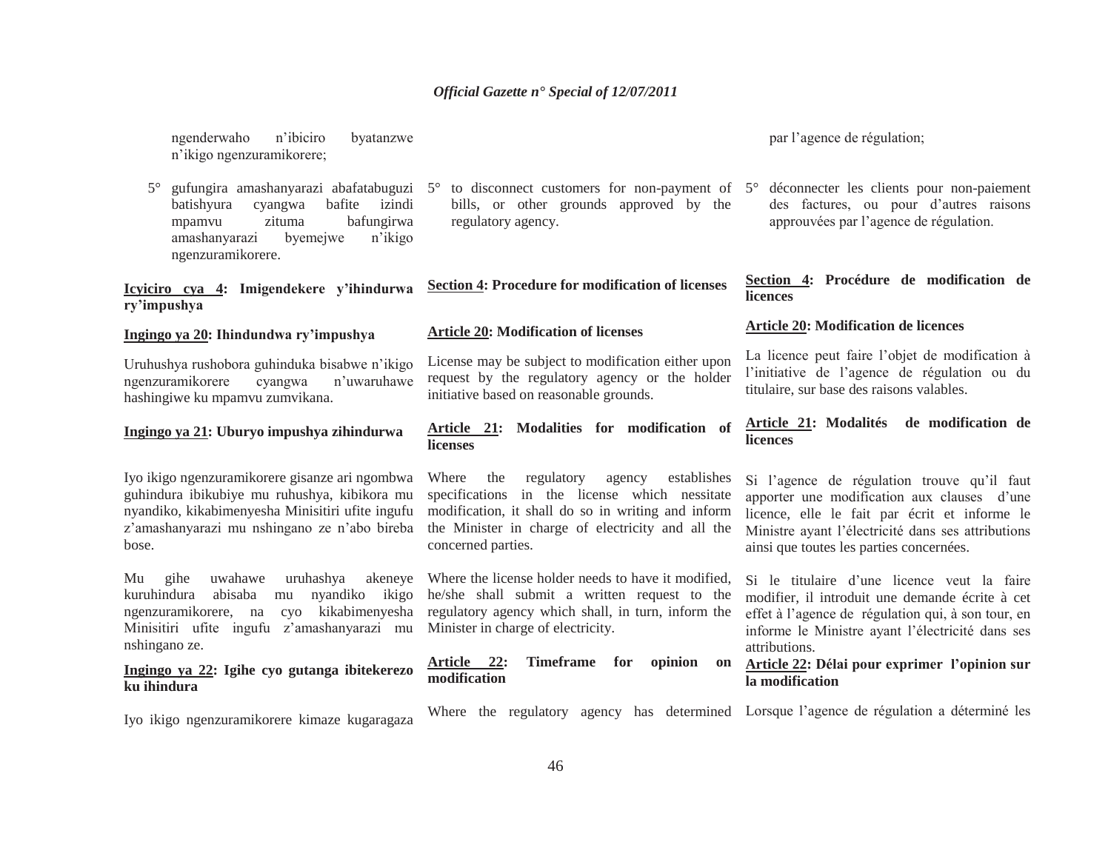ngenderwaho n'ibiciro byatanzwe <sup>n</sup>'ikigo ngenzuramikorere;

batishyura cyangwa bafite izindi mpamvu zituma bafungirwa amashanyarazi byemejwe n'ikigo ngenzuramikorere.

# **Icyiciro cya 4: Imigendekere y'ihindurwa ry'impushya**

#### **Ingingo ya 20: Ihindundwa ry'impushya**

Uruhushya rushobora guhinduka bisabwe n'ikigo ngenzuramikorere cyangwa n'uwaruhawe hashingiwe ku mpamvu zumvikana.

# **Ingingo ya 21: Uburyo impushya zihindurwa**

Iyo ikigo ngenzuramikorere gisanze ari ngombwa guhindura ibikubiye mu ruhushya, kibikora mu nyandiko, kikabimenyesha Minisitiri ufite ingufu <sup>z</sup>'amashanyarazi mu nshingano ze n'abo bireba bose.

Mu gihe uwahawe uruhashya akeneye kuruhindura abisaba mu nyandiko ikigo ngenzuramikorere, na cyo kikabimenyesha Minisitiri ufite ingufu z'amashanyarazi mu nshingano ze.

## **Ingingo ya 22: Igihe cyo gutanga ibitekerezo ku ihindura**

Iyo ikigo ngenzuramikorere kimaze kugaragaza

5° gufungira amashanyarazi abafatabuguzi 5° to disconnect customers for non-payment of 5°bills, or other grounds approved by the regulatory agency.

**Section 4: Procedure for modification of licenses** 

#### **Article 20: Modification of licenses**

License may be subject to modification either upon request by the regulatory agency or the holder initiative based on reasonable grounds.

#### **Article 21: Modalities for modification of licenses**

Where the regulatory agency establishes specifications in the license which nessitate modification, it shall do so in writing and inform the Minister in charge of electricity and all the concerned parties.

Where the license holder needs to have it modified, he/she shall submit a written request to the regulatory agency which shall, in turn, inform the Minister in charge of electricity.

**Article 22: Timeframe for opinion on modification**

par l'agence de régulation;

 déconnecter les clients pour non-paiement des factures, ou pour d'autres raisons approuvées par l'agence de régulation.

#### **Section 4: Procédure de modification de licences**

#### **Article 20: Modification de licences**

La licence peut faire l'objet de modification à l'initiative de l'agence de régulation ou du titulaire, sur base des raisons valables.

#### **Article 21: Modalités de modification de licences**

Si l'agence de régulation trouve qu'il faut apporter une modification aux clauses d'une licence, elle le fait par écrit et informe le Ministre ayant l'électricité dans ses attributions ainsi que toutes les parties concernées.

Si le titulaire d'une licence veut la faire modifier, il introduit une demande écrite à cet effet à l'agence de régulation qui, à son tour, en informe le Ministre ayant l'électricité dans ses attributions.

# **Article 22: Délai pour exprimer l'opinion sur la modification**

Where the regulatory agency has determined Lorsque l'agence de régulation a déterminé les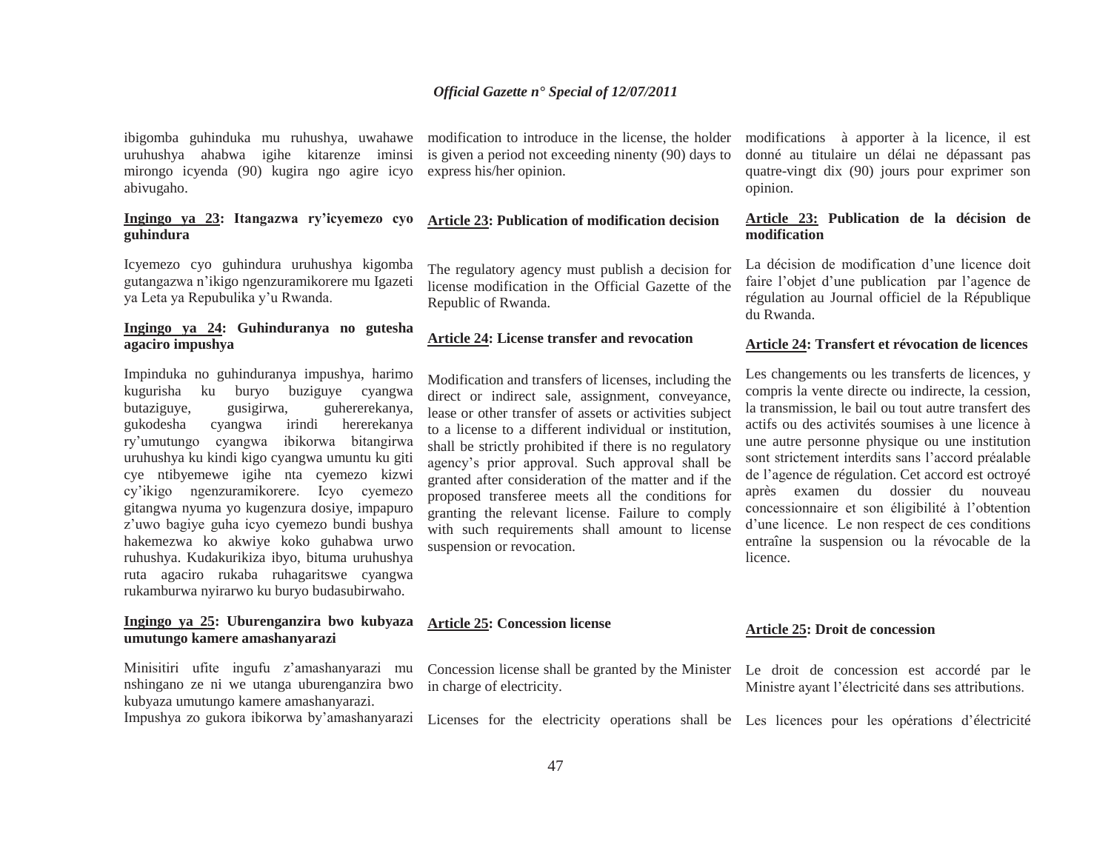ibigomba guhinduka mu ruhushya, uwahawe uruhushya ahabwa igihe kitarenze iminsi mirongo icyenda (90) kugira ngo agire icyo abivugaho.

# **Ingingo ya 23: Itangazwa ry'icyemezo cyo guhindura**

Icyemezo cyo guhindura uruhushya kigomba gutangazwa n'ikigo ngenzuramikorere mu Igazeti ya Leta ya Repubulika y'u Rwanda.

# **Ingingo ya 24: Guhinduranya no gutesha agaciro impushya**

Impinduka no guhinduranya impushya, harimo kugurisha ku buryo buziguye cyangwa butaziguye, gusigirwa, guhererekanya, gukodesha cyangwa irindi hererekanya ry'umutungo cyangwa ibikorwa bitangirwa uruhushya ku kindi kigo cyangwa umuntu ku giti cye ntibyemewe igihe nta cyemezo kizwi cy'ikigo ngenzuramikorere. Icyo cyemezo gitangwa nyuma yo kugenzura dosiye, impapuro <sup>z</sup>'uwo bagiye guha icyo cyemezo bundi bushya hakemezwa ko akwiye koko guhabwa urwo ruhushya. Kudakurikiza ibyo, bituma uruhushya ruta agaciro rukaba ruhagaritswe cyangwa rukamburwa nyirarwo ku buryo budasubirwaho.

# **Ingingo ya 25: Uburenganzira bwo kubyaza umutungo kamere amashanyarazi**

Minisitiri ufite ingufu z'amashanyarazi mu nshingano ze ni we utanga uburenganzira bwo kubyaza umutungo kamere amashanyarazi.

Impushya zo gukora ibikorwa by'amashanyarazi

is given a period not exceeding ninenty (90) days to express his/her opinion.

# **Article 23: Publication of modification decision**

The regulatory agency must publish a decision for license modification in the Official Gazette of the Republic of Rwanda.

#### **Article 24: License transfer and revocation**

Modification and transfers of licenses, including the direct or indirect sale, assignment, conveyance, lease or other transfer of assets or activities subject to a license to a different individual or institution, shall be strictly prohibited if there is no regulatory agency's prior approval. Such approval shall be granted after consideration of the matter and if the proposed transferee meets all the conditions for granting the relevant license. Failure to comply with such requirements shall amount to license suspension or revocation.

#### **Article 25: Concession license**

Concession license shall be granted by the Minister Le droit de concession est accordé par le in charge of electricity.

Licenses for the electricity operations shall be Les licences pour les opérations d'électricité

modification to introduce in the license, the holder modifications à apporter à la licence, il est donné au titulaire un délai ne dépassant pas quatre-vingt dix (90) jours pour exprimer son opinion.

#### **Article 23: Publication de la décision de modification**

La décision de modification d'une licence doit faire l'objet d'une publication par l'agence de régulation au Journal officiel de la République du Rwanda.

#### **Article 24: Transfert et révocation de licences**

Les changements ou les transferts de licences, y compris la vente directe ou indirecte, la cession, la transmission, le bail ou tout autre transfert des actifs ou des activités soumises à une licence à une autre personne physique ou une institution sont strictement interdits sans l'accord préalable de l'agence de régulation. Cet accord est octroyé après examen du dossier du nouveau concessionnaire et son éligibilité à l'obtention d'une licence. Le non respect de ces conditions entraîne la suspension ou la révocable de la licence.

#### **Article 25: Droit de concession**

Ministre ayant l'électricité dans ses attributions.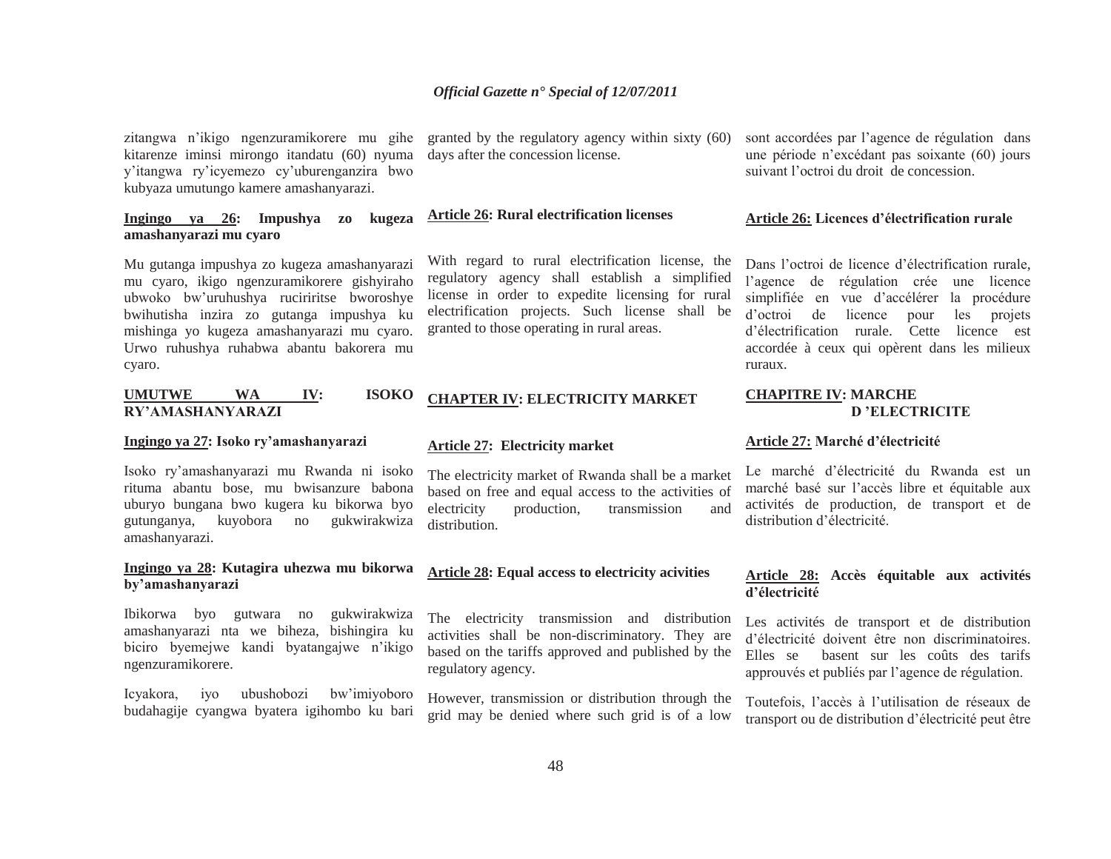zitangwa n'ikigo ngenzuramikorere mu gihe kitarenze iminsi mirongo itandatu (60) nyuma y'itangwa ry'icyemezo cy'uburenganzira bwo kubyaza umutungo kamere amashanyarazi.

# **Ingingo ya 26: Impushya zo kugeza amashanyarazi mu cyaro**

Mu gutanga impushya zo kugeza amashanyarazi mu cyaro, ikigo ngenzuramikorere gishyiraho ubwoko bw'uruhushya ruciriritse bworoshye bwihutisha inzira zo gutanga impushya ku mishinga yo kugeza amashanyarazi mu cyaro. Urwo ruhushya ruhabwa abantu bakorera mu cyaro.

# **UMUTWE WA IV: ISOKO RY'AMASHANYARAZI**

#### **Ingingo ya 27: Isoko ry'amashanyarazi**

Isoko ry'amashanyarazi mu Rwanda ni isoko rituma abantu bose, mu bwisanzure babona uburyo bungana bwo kugera ku bikorwa byo gutunganya, kuyobora no gukwirakwiza amashanyarazi.

# **Ingingo ya 28: Kutagira uhezwa mu bikorwa by'amashanyarazi**

Ibikorwa byo gutwara no gukwirakwiza amashanyarazi nta we biheza, bishingira ku biciro byemejwe kandi byatangajwe n'ikigo ngenzuramikorere.

Icyakora, iyo ubushobozi bw'imiyoboro budahagije cyangwa byatera igihombo ku bari

granted by the regulatory agency within sixty (60) days after the concession license.

# **Article 26: Rural electrification licenses**

With regard to rural electrification license, the regulatory agency shall establish a simplified license in order to expedite licensing for rural electrification projects. Such license shall be granted to those operating in rural areas.

# **CHAPTER IV: ELECTRICITY MARKET**

#### **Article 27: Electricity market**

The electricity market of Rwanda shall be a market based on free and equal access to the activities of<br>electricity production, transmission and production, transmission and distribution.

# **Article 28: Equal access to electricity acivities**

The electricity transmission and distribution activities shall be non-discriminatory. They are based on the tariffs approved and published by the regulatory agency.

However, transmission or distribution through the grid may be denied where such grid is of a low

sont accordées par l'agence de régulation dans une période n'excédant pas soixante (60) jours suivant l'octroi du droit de concession.

#### **Article 26: Licences d'électrification rurale**

Dans l'octroi de licence d'électrification rurale, l'agence de régulation crée une licence simplifiée en vue d'accélérer la procédure d'octroi de licence pour les projets d'électrification rurale. Cette licence est accordée à ceux qui opèrent dans les milieux ruraux.

# **CHAPITRE IV: MARCHE D 'ELECTRICITE**

#### **Article 27: Marché d'électricité**

Le marché d'électricité du Rwanda est un marché basé sur l'accès libre et équitable aux activités de production, de transport et de distribution d'électricité.

#### **Article 28: Accès équitable aux activités d'électricité**

Les activités de transport et de distribution d'électricité doivent être non discriminatoires. Elles se basent sur les coûts des tarifs approuvés et publiés par l'agence de régulation.

Toutefois, l'accès à l'utilisation de réseaux de transport ou de distribution d'électricité peut être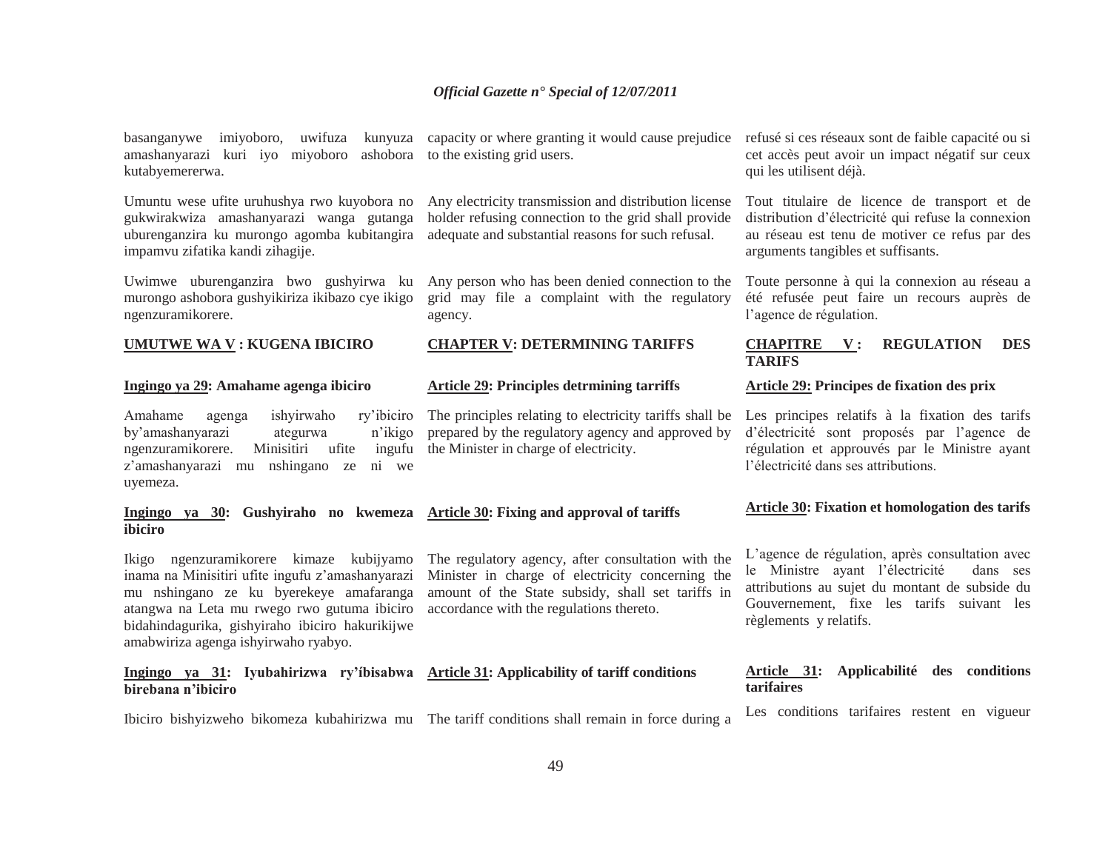basanganywe imiyoboro, uwifuza kunyuza amashanyarazi kuri iyo miyoboro ashobora kutabyemererwa.

Umuntu wese ufite uruhushya rwo kuyobora no gukwirakwiza amashanyarazi wanga gutanga uburenganzira ku murongo agomba kubitangira impamvu zifatika kandi zihagije.

Uwimwe uburenganzira bwo gushyirwa ku murongo ashobora gushyikiriza ikibazo cye ikigo ngenzuramikorere.

#### **UMUTWE WA V : KUGENA IBICIRO**

#### **Ingingo ya 29: Amahame agenga ibiciro**

Amahame agenga ishyirwaho ry'ibiciro by'amashanyarazi ategurwa n'ikigo ngenzuramikorere. Minisitiri ufite ingufu <sup>z</sup>'amashanyarazi mu nshingano ze ni we uyemeza.

#### **Ingingo ya 30: Gushyiraho no kwemeza Article 30: Fixing and approval of tariffs ibiciro**

Ikigo ngenzuramikorere kimaze kubijyamo inama na Minisitiri ufite ingufu z'amashanyarazi mu nshingano ze ku byerekeye amafaranga atangwa na Leta mu rwego rwo gutuma ibiciro bidahindagurika, gishyiraho ibiciro hakurikijwe amabwiriza agenga ishyirwaho ryabyo.

## **Ingingo ya 31: Iyubahirizwa ry'íbisabwa Article 31: Applicability of tariff conditions birebana n'ibiciro**

Ibiciro bishyizweho bikomeza kubahirizwa mu The tariff conditions shall remain in force during a

capacity or where granting it would cause prejudice refusé si ces réseaux sont de faible capacité ou si to the existing grid users.

Any electricity transmission and distribution license holder refusing connection to the grid shall provide adequate and substantial reasons for such refusal.

Any person who has been denied connection to the grid may file a complaint with the regulatory agency.

#### **CHAPTER V: DETERMINING TARIFFS**

#### **Article 29: Principles detrmining tarriffs**

The principles relating to electricity tariffs shall be prepared by the regulatory agency and approved by the Minister in charge of electricity.

The regulatory agency, after consultation with the Minister in charge of electricity concerning the amount of the State subsidy, shall set tariffs in accordance with the regulations thereto.

cet accès peut avoir un impact négatif sur ceux qui les utilisent déjà.

Tout titulaire de licence de transport et de distribution d'électricité qui refuse la connexion au réseau est tenu de motiver ce refus par des arguments tangibles et suffisants.

Toute personne à qui la connexion au réseau a été refusée peut faire un recours auprès de l'agence de régulation.

## **CHAPITRE V : REGULATION DES TARIFS**

#### **Article 29: Principes de fixation des prix**

Les principes relatifs à la fixation des tarifs d'électricité sont proposés par l'agence de régulation et approuvés par le Ministre ayant l'électricité dans ses attributions.

#### **Article 30: Fixation et homologation des tarifs**

L'agence de régulation, après consultation avec le Ministre ayant l'électricité dans ses attributions au sujet du montant de subside du Gouvernement, fixe les tarifs suivant les règlements y relatifs.

#### **Article 31: Applicabilité des conditions tarifaires**

Les conditions tarifaires restent en vigueur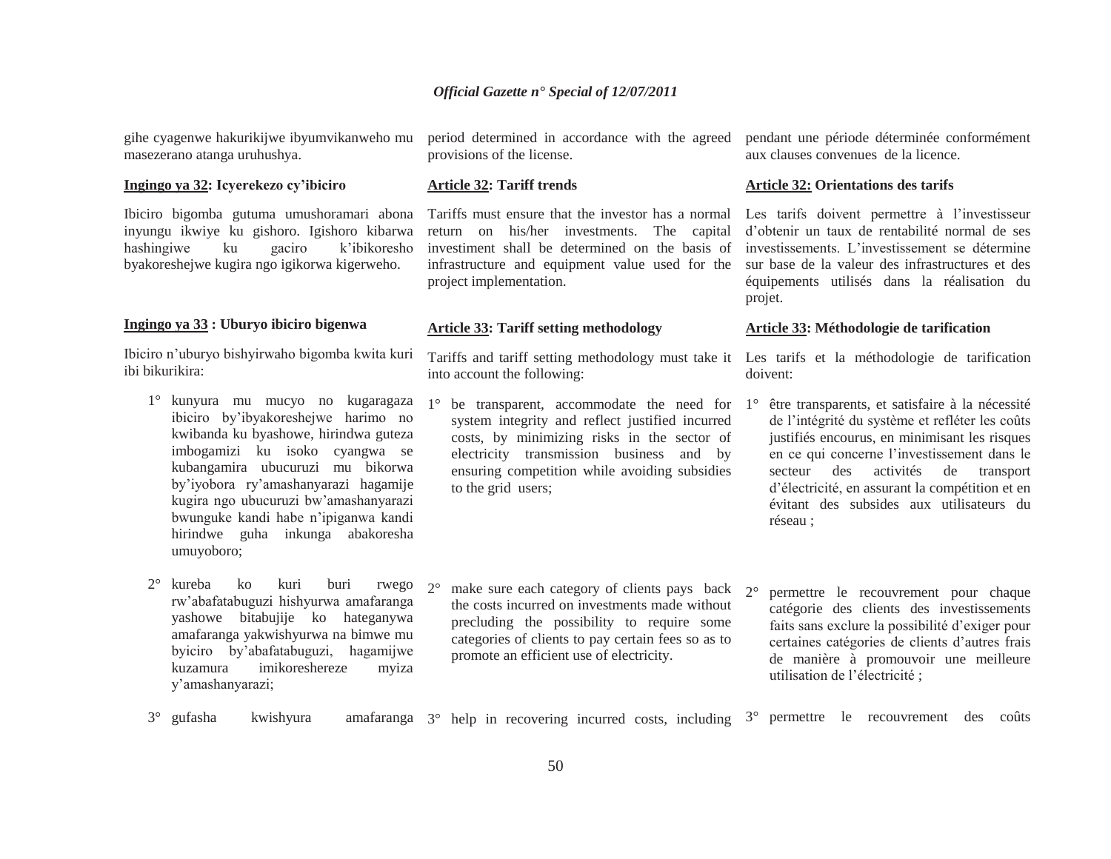gihe cyagenwe hakurikijwe ibyumvikanweho mu masezerano atanga uruhushya.

#### **Ingingo ya 32: Icyerekezo cy'ibiciro**

Ibiciro bigomba gutuma umushoramari abona inyungu ikwiye ku gishoro. Igishoro kibarwa hashingiwe ku gaciro k'ibikoresho byakoreshejwe kugira ngo igikorwa kigerweho.

#### **Ingingo ya 33 : Uburyo ibiciro bigenwa**

Ibiciro n'uburyo bishyirwaho bigomba kwita kuri ibi bikurikira:

- 1° kunyura mu mucyo no kugaragaza ibiciro by'ibyakoreshejwe harimo no kwibanda ku byashowe, hirindwa guteza imbogamizi ku isoko cyangwa se kubangamira ubucuruzi mu bikorwa by'iyobora ry'amashanyarazi hagamije kugira ngo ubucuruzi bw'amashanyarazi bwunguke kandi habe n'ipiganwa kandi hirindwe guha inkunga abakoresha umuyoboro;
- 2° kureba ko kuri buri rwego rw'abafatabuguzi hishyurwa amafaranga yashowe bitabujije ko hateganywa amafaranga yakwishyurwa na bimwe mu byiciro by'abafatabuguzi, hagamijwe kuzamura imikoreshereze myiza y'amashanyarazi;

period determined in accordance with the agreed provisions of the license.

#### **Article 32: Tariff trends**

Tariffs must ensure that the investor has a normal Les tarifs doivent permettre à l'investisseur return on his/her investments. The capital investiment shall be determined on the basis of infrastructure and equipment value used for the project implementation.

#### **Article 33: Tariff setting methodology**

Tariffs and tariff setting methodology must take it Les tarifs et la méthodologie de tarification into account the following:

- 1° be transparent, accommodate the need for 1°system integrity and reflect justified incurred costs, by minimizing risks in the sector of electricity transmission business and by ensuring competition while avoiding subsidies to the grid users;
- $2^{\circ}$  $\degree$  make sure each category of clients pays back  $2\degree$ the costs incurred on investments made without precluding the possibility to require some categories of clients to pay certain fees so as to promote an efficient use of electricity.

pendant une période déterminée conformément aux clauses convenues de la licence.

#### **Article 32: Orientations des tarifs**

d'obtenir un taux de rentabilité normal de ses investissements. L'investissement se détermine sur base de la valeur des infrastructures et des équipements utilisés dans la réalisation du projet.

#### **Article 33: Méthodologie de tarification**

doivent:

- être transparents, et satisfaire à la nécessité de l'intégrité du système et refléter les coûts justifiés encourus, en minimisant les risques en ce qui concerne l'investissement dans le secteur des activités de transport d'électricité, en assurant la compétition et en évitant des subsides aux utilisateurs du réseau ;
- permettre le recouvrement pour chaque catégorie des clients des investissements faits sans exclure la possibilité d'exiger pour certaines catégories de clients d'autres frais de manière à promouvoir une meilleure utilisation de l'électricité ;
- 3° gufasha  $\degree$  gufasha kwishyura amafaranga  $3\degree$  help in recovering incurred costs, including  $3\degree$ permettre le recouvrement des coûts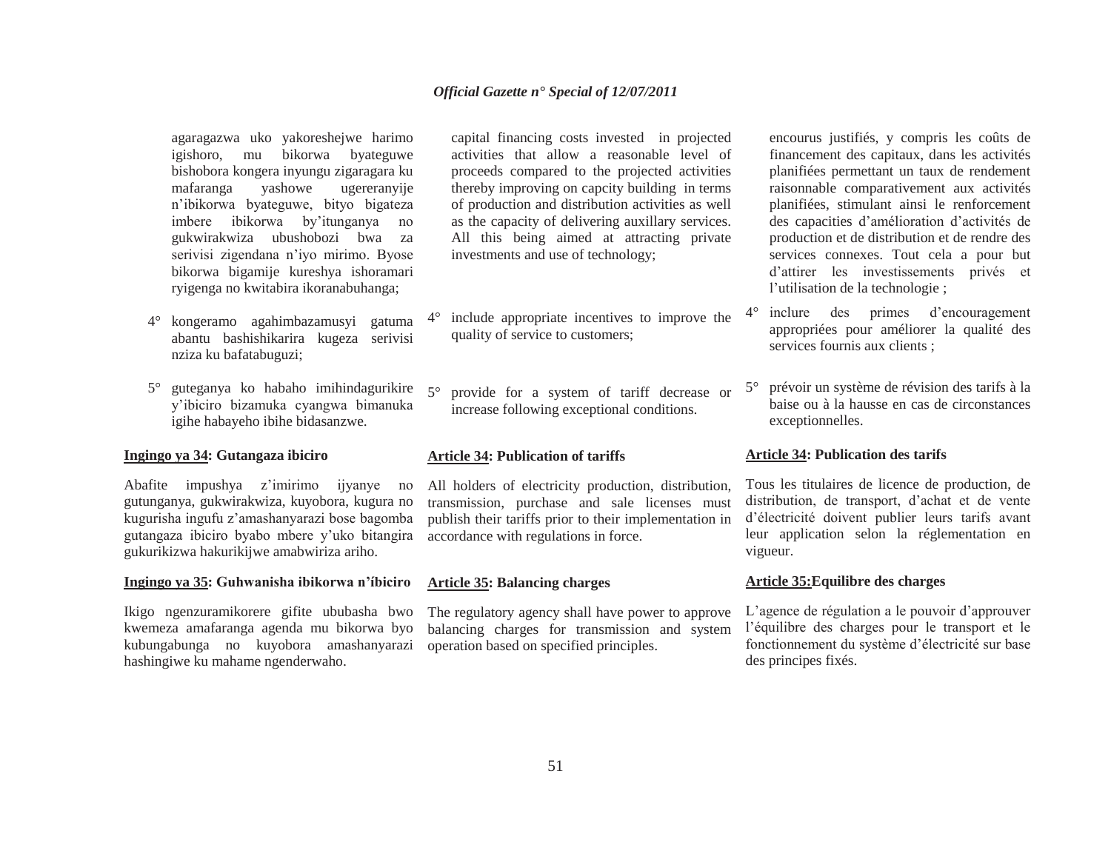agaragazwa uko yakoreshejwe harimo igishoro, mu bikorwa byateguwe bishobora kongera inyungu zigaragara ku mafaranga yashowe ugereranyije <sup>n</sup>'ibikorwa byateguwe, bityo bigateza imbere ibikorwa by'itunganya no gukwirakwiza ubushobozi bwa za serivisi zigendana n'iyo mirimo. Byose bikorwa bigamije kureshya ishoramari ryigenga no kwitabira ikoranabuhanga;

- 4° kongeramo agahimbazamusyi gatuma abantu bashishikarira kugeza serivisi nziza ku bafatabuguzi;
- $5^{\circ}$  guteganya ko habaho imihindagurikire y'ibiciro bizamuka cyangwa bimanuka igihe habayeho ibihe bidasanzwe.

# **Ingingo ya 34: Gutangaza ibiciro**

Abafite impushya z'imirimo ijyanye no gutunganya, gukwirakwiza, kuyobora, kugura no kugurisha ingufu z'amashanyarazi bose bagomba gutangaza ibiciro byabo mbere y'uko bitangira gukurikizwa hakurikijwe amabwiriza ariho.

#### **Ingingo ya 35: Guhwanisha ibikorwa n'íbiciro**

Ikigo ngenzuramikorere gifite ububasha bwo kwemeza amafaranga agenda mu bikorwa byo kubungabunga no kuyobora amashanyarazi hashingiwe ku mahame ngenderwaho.

capital financing costs invested in projected activities that allow a reasonable level of proceeds compared to the projected activities thereby improving on capcity building in terms of production and distribution activities as well as the capacity of delivering auxillary services. All this being aimed at attracting private investments and use of technology;

- $4^{\circ}$  include appropriate incentives to improve the quality of service to customers;
- $5^{\circ}$  provide for a system of tariff decrease or increase following exceptional conditions.

#### **Article 34: Publication of tariffs**

All holders of electricity production, distribution, transmission, purchase and sale licenses must publish their tariffs prior to their implementation in accordance with regulations in force.

## **Article 35: Balancing charges**

The regulatory agency shall have power to approve balancing charges for transmission and system operation based on specified principles.

encourus justifiés, y compris les coûts de financement des capitaux, dans les activités planifiées permettant un taux de rendement raisonnable comparativement aux activités planifiées, stimulant ainsi le renforcement des capacities d'amélioration d'activités de production et de distribution et de rendre des services connexes. Tout cela a pour but d'attirer les investissements privés et l'utilisation de la technologie ;

- 4° inclure des primes d'encouragement appropriées pour améliorer la qualité des services fournis aux clients ;
- $5^\circ$  prévoir un système de révision des tarifs à la baise ou à la hausse en cas de circonstances exceptionnelles.

#### **Article 34: Publication des tarifs**

Tous les titulaires de licence de production, de distribution, de transport, d'achat et de vente d'électricité doivent publier leurs tarifs avant leur application selon la réglementation en vigueur.

## **Article 35:Equilibre des charges**

L'agence de régulation a le pouvoir d'approuver l'équilibre des charges pour le transport et le fonctionnement du système d'électricité sur base des principes fixés.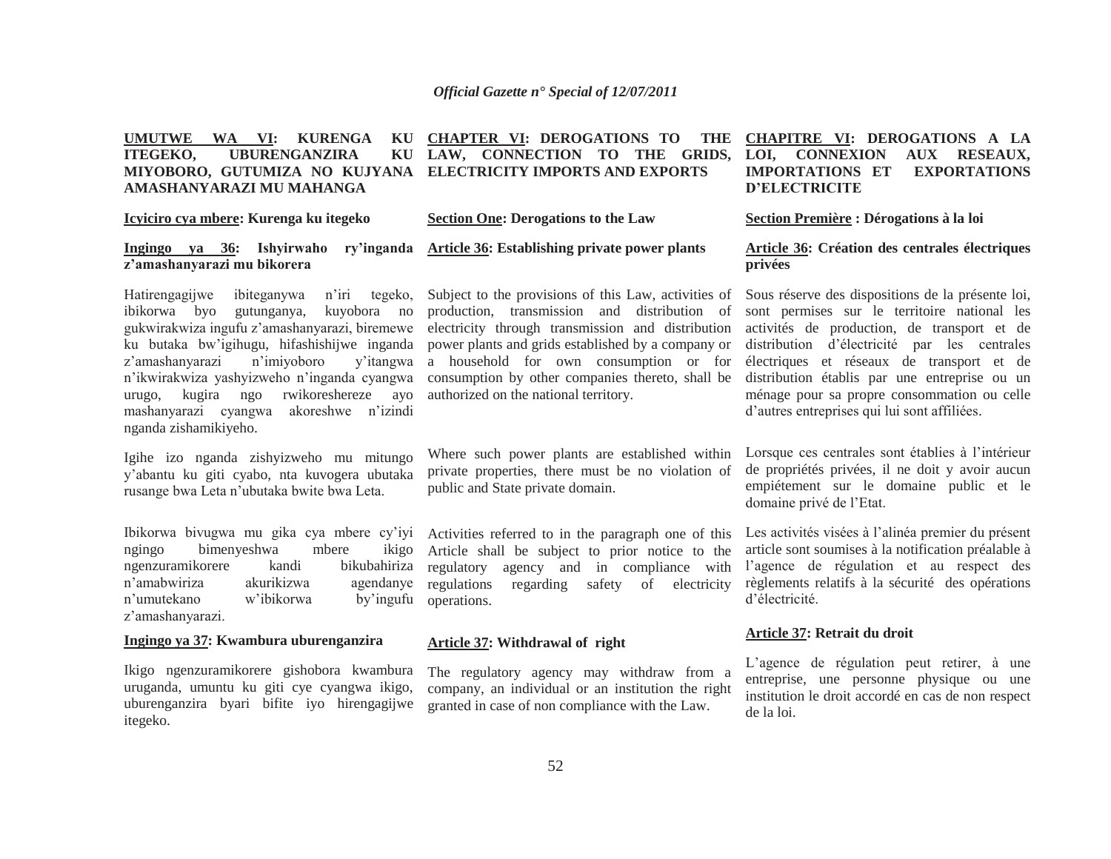#### **UMUTWE WA VI: KURENGA KU CHAPTER VI: DEROGATIONS TO THE CHAPITRE VI: DEROGATIONS A LA ITEGEKO, UBURENGANZIRA MIYOBORO, GUTUMIZA NO KUJYANA ELECTRICITY IMPORTS AND EXPORTS AMASHANYARAZI MU MAHANGA LAW, CONNECTION TO THE GRIDS,**

# **Icyiciro cya mbere: Kurenga ku itegeko**

# **Section One: Derogations to the Law**

# **Ingingo ya 36: Ishyirwaho ry'inganda <sup>z</sup>'amashanyarazi mu bikorera**

Hatirengagijwe ibiteganywa n'iri tegeko, ibikorwa byo gutunganya, kuyobora no gukwirakwiza ingufu z'amashanyarazi, biremewe ku butaka bw'igihugu, hifashishijwe inganda <sup>z</sup>'amashanyarazi n'imiyoboro y'itangwa <sup>n</sup>'ikwirakwiza yashyizweho n'inganda cyangwa urugo, kugira ngo rwikoreshereze ayo mashanyarazi cyangwa akoreshwe n'izindi nganda zishamikiyeho.

Igihe izo nganda zishyizweho mu mitungo y'abantu ku giti cyabo, nta kuvogera ubutaka rusange bwa Leta n'ubutaka bwite bwa Leta.

Ibikorwa bivugwa mu gika cya mbere cy'iyi ngingo bimenyeshwa mbere ikigo ngenzuramikorere kandi bikubahiriza <sup>n</sup>'amabwiriza akurikizwa agendanye <sup>n</sup>'umutekano w'ibikorwa by'ingufu <sup>z</sup>'amashanyarazi.

## **Ingingo ya 37: Kwambura uburenganzira**

Ikigo ngenzuramikorere gishobora kwambura uruganda, umuntu ku giti cye cyangwa ikigo, uburenganzira byari bifite iyo hirengagijwe itegeko.

**Article 36: Establishing private power plants** 

Subject to the provisions of this Law, activities of production, transmission and distribution of electricity through transmission and distribution power plants and grids established by a company or a household for own consumption or for consumption by other companies thereto, shall be authorized on the national territory.

Where such power plants are established within private properties, there must be no violation of public and State private domain.

Activities referred to in the paragraph one of this Article shall be subject to prior notice to the regulatory agency and in compliance with regulations regarding safety of electricity operations.

#### **Article 37: Withdrawal of right**

The regulatory agency may withdraw from a company, an individual or an institution the right granted in case of non compliance with the Law.

# **LOI, CONNEXION AUX RESEAUX, IMPORTATIONS ET EXPORTATIONS D'ELECTRICITE**

**Section Première : Dérogations à la loi** 

# **Article 36: Création des centrales électriques privées**

Sous réserve des dispositions de la présente loi, sont permises sur le territoire national les activités de production, de transport et de distribution d'électricité par les centrales électriques et réseaux de transport et de distribution établis par une entreprise ou un ménage pour sa propre consommation ou celle d'autres entreprises qui lui sont affiliées.

Lorsque ces centrales sont établies à l'intérieur de propriétés privées, il ne doit y avoir aucun empiétement sur le domaine public et le domaine privé de l'Etat.

Les activités visées à l'alinéa premier du présent article sont soumises à la notification préalable à l'agence de régulation et au respect des règlements relatifs à la sécurité des opérations d'électricité.

#### **Article 37: Retrait du droit**

L'agence de régulation peut retirer, à une entreprise, une personne physique ou une institution le droit accordé en cas de non respect de la loi.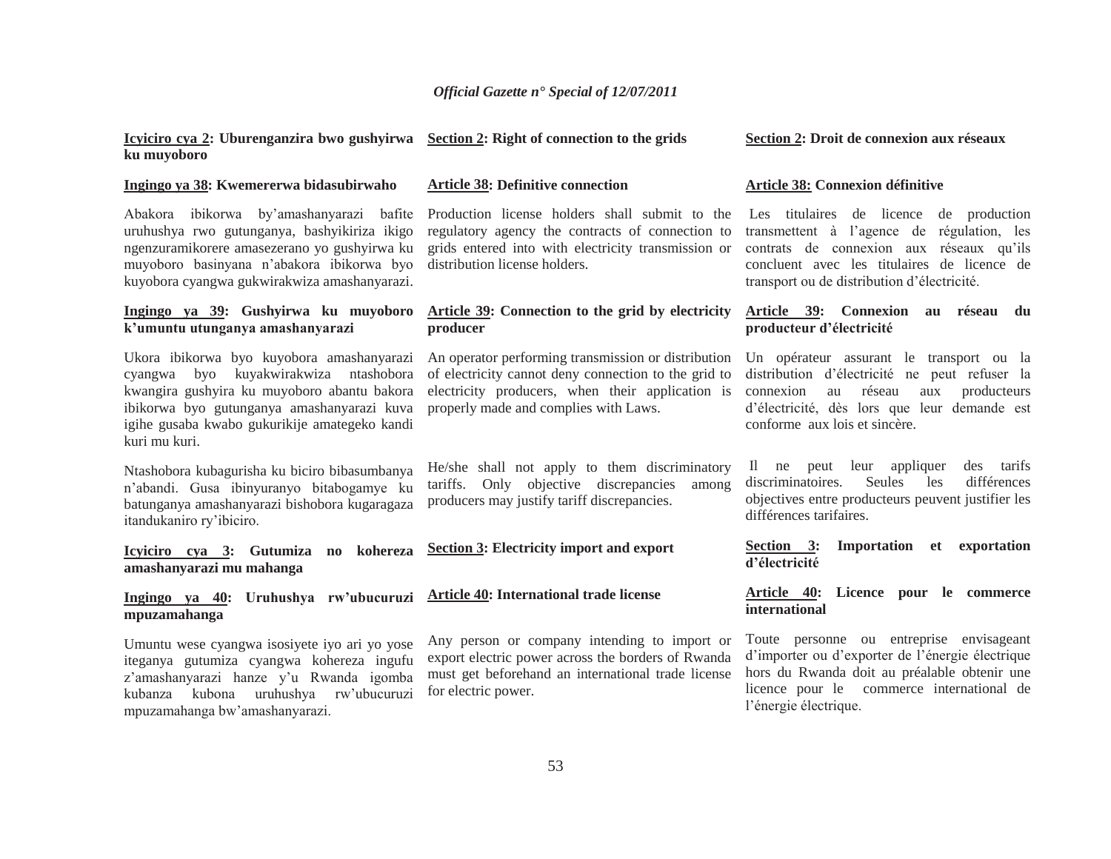Production license holders shall submit to the regulatory agency the contracts of connection to grids entered into with electricity transmission or

**Article 39: Connection to the grid by electricity** 

An operator performing transmission or distribution of electricity cannot deny connection to the grid to electricity producers, when their application is

He/she shall not apply to them discriminatory tariffs. Only objective discrepancies among

properly made and complies with Laws.

producers may justify tariff discrepancies.

**Article 38: Definitive connection** 

distribution license holders.

**producer**

#### **Icyiciro cya 2: Uburenganzira bwo gushyirwa ku muyoboro Section 2: Right of connection to the grids**

#### **Ingingo ya 38: Kwemererwa bidasubirwaho**

Abakora ibikorwa by'amashanyarazi bafite uruhushya rwo gutunganya, bashyikiriza ikigo ngenzuramikorere amasezerano yo gushyirwa ku muyoboro basinyana n'abakora ibikorwa byo kuyobora cyangwa gukwirakwiza amashanyarazi.

# **Ingingo ya 39: Gushyirwa ku muyoboro k'umuntu utunganya amashanyarazi**

Ukora ibikorwa byo kuyobora amashanyarazi cyangwa byo kuyakwirakwiza ntashobora kwangira gushyira ku muyoboro abantu bakora ibikorwa byo gutunganya amashanyarazi kuva igihe gusaba kwabo gukurikije amategeko kandi kuri mu kuri.

Ntashobora kubagurisha ku biciro bibasumbanya <sup>n</sup>'abandi. Gusa ibinyuranyo bitabogamye ku batunganya amashanyarazi bishobora kugaragaza itandukaniro ry'ibiciro.

**Icyiciro cya 3: Gutumiza no kohereza amashanyarazi mu mahanga Section 3: Electricity import and export** 

#### **Ingingo ya 40: Uruhushya rw'ubucuruzi mpuzamahanga Article 40: International trade license**

Umuntu wese cyangwa isosiyete iyo ari yo yose iteganya gutumiza cyangwa kohereza ingufu <sup>z</sup>'amashanyarazi hanze y'u Rwanda igomba kubanza kubona uruhushya rw'ubucuruzi mpuzamahanga bw'amashanyarazi.

Any person or company intending to import or export electric power across the borders of Rwanda must get beforehand an international trade license for electric power.

#### **Section 2: Droit de connexion aux réseaux**

#### **Article 38: Connexion définitive**

Les titulaires de licence de production transmettent à l'agence de régulation, les contrats de connexion aux réseaux qu'ils concluent avec les titulaires de licence de transport ou de distribution d'électricité.

#### **Article 39: Connexion au réseau du producteur d'électricité**

Un opérateur assurant le transport ou la distribution d'électricité ne peut refuser la connexion au réseau aux producteurs d'électricité, dès lors que leur demande est conforme aux lois et sincère.

 Il ne peut leur appliquer des tarifs discriminatoires. Seules les différences objectives entre producteurs peuvent justifier les différences tarifaires.

**Section 3: Importation et exportation d'électricité** 

# **Article 40: Licence pour le commerce international**

Toute personne ou entreprise envisageant d'importer ou d'exporter de l'énergie électrique hors du Rwanda doit au préalable obtenir une licence pour le commerce international de l'énergie électrique.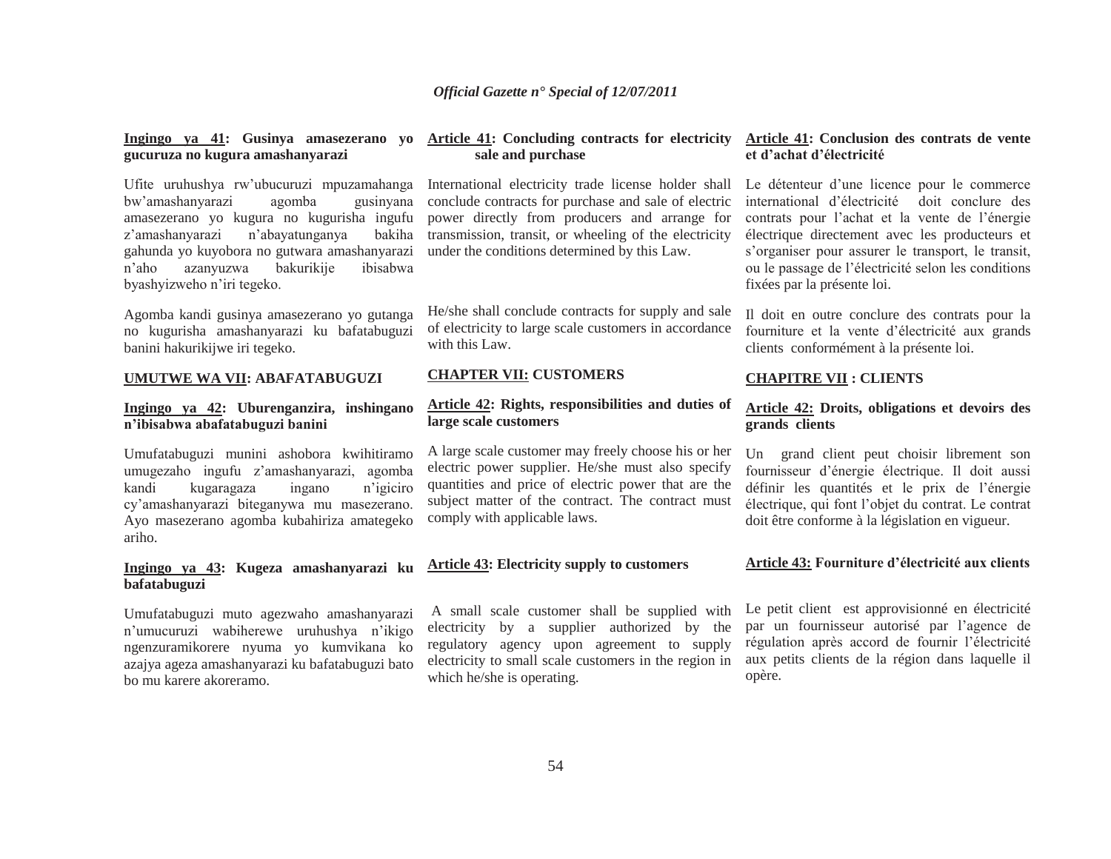**Ingingo ya 41: Gusinya amasezerano yo gucuruza no kugura amashanyarazi**

Ufite uruhushya rw'ubucuruzi mpuzamahanga bw'amashanyarazi agomba gusinyana amasezerano yo kugura no kugurisha ingufu <sup>z</sup>'amashanyarazi n'abayatunganya bakiha gahunda yo kuyobora no gutwara amashanyarazi <sup>n</sup>'aho azanyuzwa bakurikije ibisabwa byashyizweho n'iri tegeko.

Agomba kandi gusinya amasezerano yo gutanga no kugurisha amashanyarazi ku bafatabuguzi banini hakurikijwe iri tegeko.

#### **UMUTWE WA VII: ABAFATABUGUZI**

# **Ingingo ya 42: Uburenganzira, inshingano <sup>n</sup>'ibisabwa abafatabuguzi banini**

Umufatabuguzi munini ashobora kwihitiramo umugezaho ingufu z'amashanyarazi, agomba kandi kugaragaza ingano n'igiciro cy'amashanyarazi biteganywa mu masezerano. Ayo masezerano agomba kubahiriza amategeko ariho.

# **Ingingo ya 43: Kugeza amashanyarazi ku bafatabuguzi**

Umufatabuguzi muto agezwaho amashanyarazi <sup>n</sup>'umucuruzi wabiherewe uruhushya n'ikigo ngenzuramikorere nyuma yo kumvikana ko azajya ageza amashanyarazi ku bafatabuguzi bato bo mu karere akoreramo.

# **Article 41: Concluding contracts for electricity sale and purchase**

International electricity trade license holder shall conclude contracts for purchase and sale of electric power directly from producers and arrange for transmission, transit, or wheeling of the electricity under the conditions determined by this Law.

He/she shall conclude contracts for supply and sale of electricity to large scale customers in accordance with this Law.

#### **CHAPTER VII: CUSTOMERS**

# **Article 42: Rights, responsibilities and duties of large scale customers**

A large scale customer may freely choose his or her electric power supplier. He/she must also specify quantities and price of electric power that are the subject matter of the contract. The contract must comply with applicable laws.

# **Article 43: Electricity supply to customers**

 A small scale customer shall be supplied with electricity by a supplier authorized by the regulatory agency upon agreement to supply electricity to small scale customers in the region in which he/she is operating.

#### **Article 41: Conclusion des contrats de vente et d'achat d'électricité**

Le détenteur d'une licence pour le commerce international d'électricité doit conclure des contrats pour l'achat et la vente de l'énergie électrique directement avec les producteurs et <sup>s</sup>'organiser pour assurer le transport, le transit, ou le passage de l'électricité selon les conditions fixées par la présente loi.

Il doit en outre conclure des contrats pour la fourniture et la vente d'électricité aux grands clients conformément à la présente loi.

#### **CHAPITRE VII : CLIENTS**

#### **Article 42: Droits, obligations et devoirs des grands clients**

Un grand client peut choisir librement son fournisseur d'énergie électrique. Il doit aussi définir les quantités et le prix de l'énergie électrique, qui font l'objet du contrat. Le contrat doit être conforme à la législation en vigueur.

#### **Article 43: Fourniture d'électricité aux clients**

Le petit client est approvisionné en électricité par un fournisseur autorisé par l'agence de régulation après accord de fournir l'électricité aux petits clients de la région dans laquelle il opère.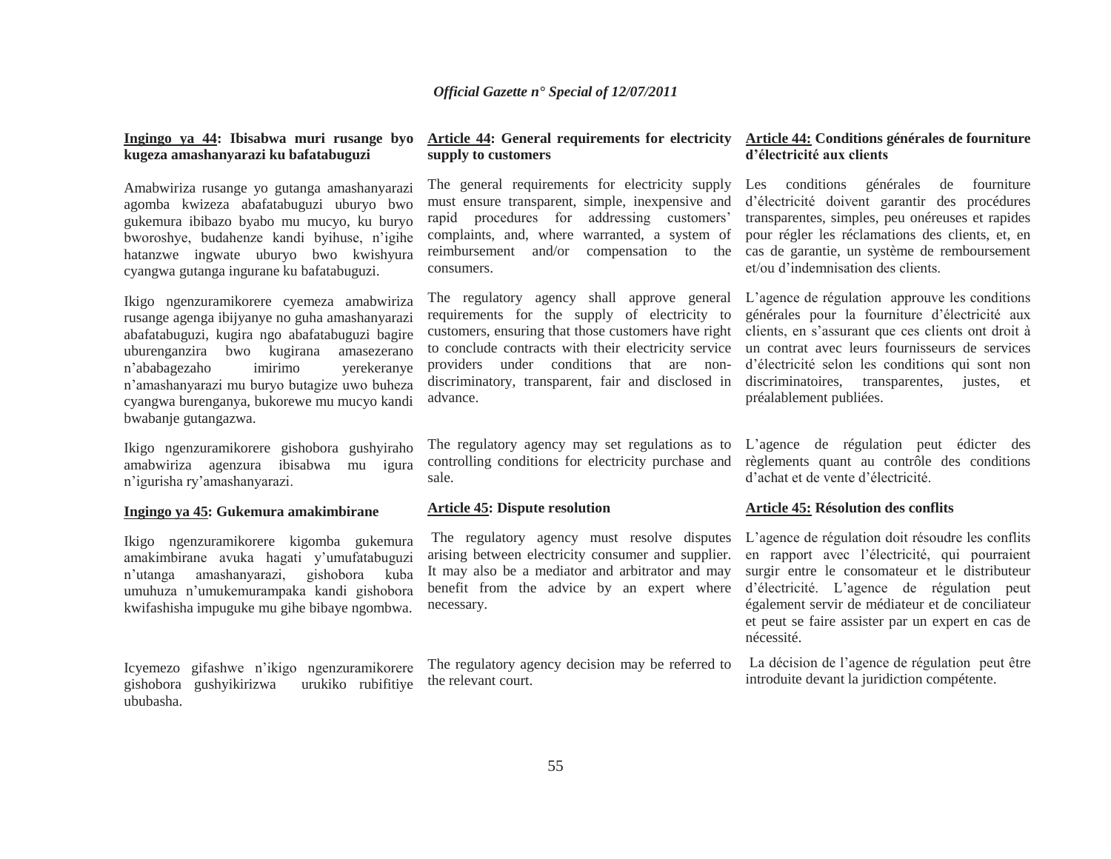# **Ingingo ya 44: Ibisabwa muri rusange byo kugeza amashanyarazi ku bafatabuguzi**

Amabwiriza rusange yo gutanga amashanyarazi agomba kwizeza abafatabuguzi uburyo bwo gukemura ibibazo byabo mu mucyo, ku buryo bworoshye, budahenze kandi byihuse, n'igihe hatanzwe ingwate uburyo bwo kwishyura cyangwa gutanga ingurane ku bafatabuguzi.

Ikigo ngenzuramikorere cyemeza amabwiriza rusange agenga ibijyanye no guha amashanyarazi abafatabuguzi, kugira ngo abafatabuguzi bagire uburenganzira bwo kugirana amasezerano <sup>n</sup>'ababagezaho imirimo yerekeranye <sup>n</sup>'amashanyarazi mu buryo butagize uwo buheza cyangwa burenganya, bukorewe mu mucyo kandi bwabanje gutangazwa.

Ikigo ngenzuramikorere gishobora gushyiraho amabwiriza agenzura ibisabwa mu igura <sup>n</sup>'igurisha ry'amashanyarazi.

#### **Ingingo ya 45: Gukemura amakimbirane**

Ikigo ngenzuramikorere kigomba gukemura amakimbirane avuka hagati y'umufatabuguzi <sup>n</sup>'utanga amashanyarazi, gishobora kuba umuhuza n'umukemurampaka kandi gishobora kwifashisha impuguke mu gihe bibaye ngombwa.

Icyemezo gifashwe n'ikigo ngenzuramikorere gishobora gushyikirizwa urukiko rubifitiye ububasha.

# **supply to customers**

The general requirements for electricity supply must ensure transparent, simple, inexpensive and rapid procedures for addressing customers' complaints, and, where warranted, a system of reimbursement and/or compensation to the cas de garantie, un système de remboursement consumers.

requirements for the supply of electricity to customers, ensuring that those customers have right to conclude contracts with their electricity service providers under conditions that are nondiscriminatory, transparent, fair and disclosed in advance.

The regulatory agency may set regulations as to L'agence de régulation peut édicter des controlling conditions for electricity purchase and sale.

## **Article 45: Dispute resolution**

arising between electricity consumer and supplier. It may also be a mediator and arbitrator and may benefit from the advice by an expert where necessary.

The regulatory agency decision may be referred to the relevant court.

#### **Article 44: General requirements for electricity Article 44: Conditions générales de fourniture d'électricité aux clients**

Les conditions générales de fourniture d'électricité doivent garantir des procédures transparentes, simples, peu onéreuses et rapides pour régler les réclamations des clients, et, en et/ou d'indemnisation des clients.

The regulatory agency shall approve general L'agence de régulation approuve les conditions générales pour la fourniture d'électricité aux clients, en s'assurant que ces clients ont droit à un contrat avec leurs fournisseurs de services d'électricité selon les conditions qui sont non discriminatoires, transparentes, justes, et préalablement publiées.

> règlements quant au contrôle des conditions d'achat et de vente d'électricité.

#### **Article 45: Résolution des conflits**

 The regulatory agency must resolve disputes L'agence de régulation doit résoudre les conflits en rapport avec l'électricité, qui pourraient surgir entre le consomateur et le distributeur d'électricité. L'agence de régulation peut également servir de médiateur et de conciliateur et peut se faire assister par un expert en cas de nécessité.

> La décision de l'agence de régulation peut être introduite devant la juridiction compétente.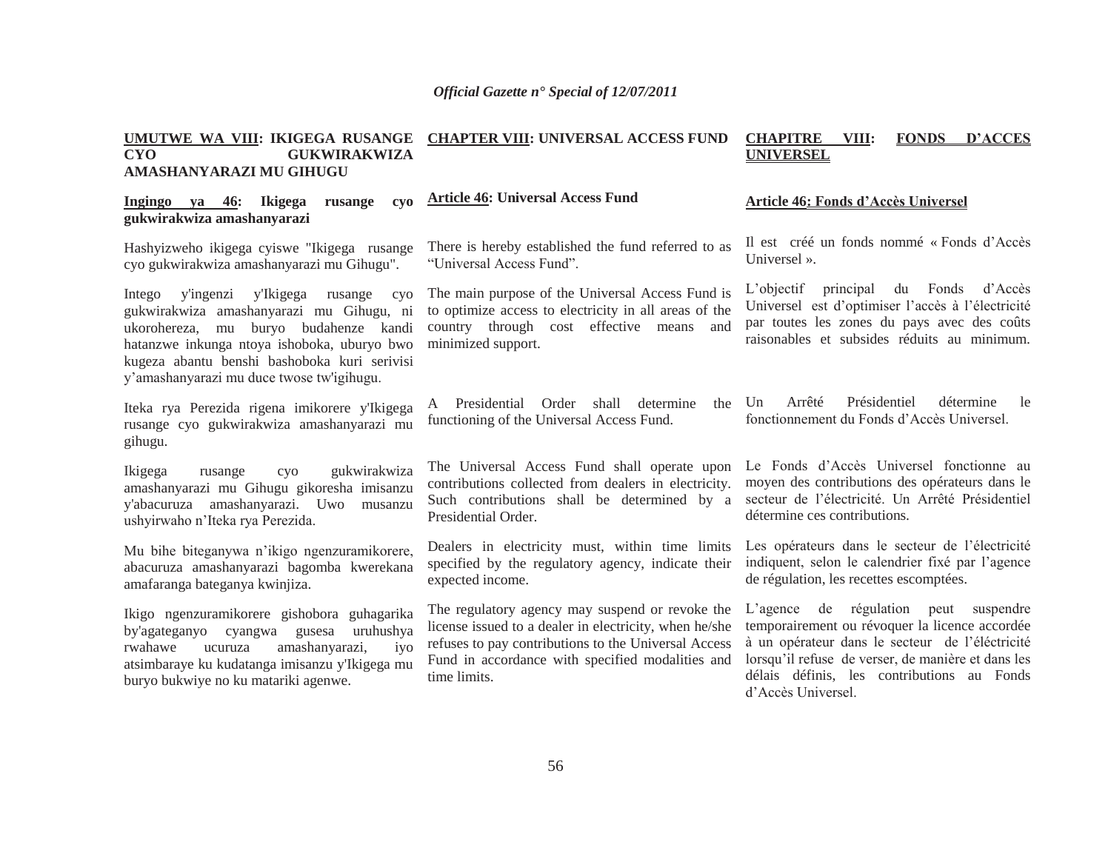#### **UMUTWE WA VIII: IKIGEGA RUSANGE CHAPTER VIII: UNIVERSAL ACCESS FUND CYO GUKWIRAKWIZA AMASHANYARAZI MU GIHUGUCHAPITRE VIII: FONDS D'ACCES UNIVERSEL**

#### **Ingingo ya 46: Ikigega rusange cyo gukwirakwiza amashanyarazi Article 46: Universal Access Fund**

Hashyizweho ikigega cyiswe "Ikigega rusange cyo gukwirakwiza amashanyarazi mu Gihugu".

Intego y'ingenzi y'Ikigega rusange cyo gukwirakwiza amashanyarazi mu Gihugu, ni ukorohereza, mu buryo budahenze kandi hatanzwe inkunga ntoya ishoboka, uburyo bwo kugeza abantu benshi bashoboka kuri serivisi y'amashanyarazi mu duce twose tw'igihugu.

Iteka rya Perezida rigena imikorere y'Ikigega rusange cyo gukwirakwiza amashanyarazi mu gihugu.

Ikigega rusange cyo gukwirakwiza amashanyarazi mu Gihugu gikoresha imisanzu y'abacuruza amashanyarazi. Uwo musanzu ushyirwaho n'Iteka rya Perezida.

Mu bihe biteganywa n'ikigo ngenzuramikorere, abacuruza amashanyarazi bagomba kwerekana amafaranga bateganya kwinjiza.

Ikigo ngenzuramikorere gishobora guhagarika by'agateganyo cyangwa gusesa uruhushya rwahawe ucuruza amashanyarazi, iyo atsimbaraye ku kudatanga imisanzu y'Ikigega mu buryo bukwiye no ku matariki agenwe.

There is hereby established the fund referred to as "Universal Access Fund".

The main purpose of the Universal Access Fund is to optimize access to electricity in all areas of the country through cost effective means and minimized support.

A Presidential Order shall determine the functioning of the Universal Access Fund.

The Universal Access Fund shall operate upon contributions collected from dealers in electricity. Such contributions shall be determined by a Presidential Order.

Dealers in electricity must, within time limits specified by the regulatory agency, indicate their expected income.

The regulatory agency may suspend or revoke the license issued to a dealer in electricity, when he/she refuses to pay contributions to the Universal Access Fund in accordance with specified modalities and time limits.

#### **Article 46: Fonds d'Accès Universel**

Il est créé un fonds nommé « Fonds d'Accès Universel ».

L'objectif principal du Fonds d'Accès Universel est d'optimiser l'accès à l'électricité par toutes les zones du pays avec des coûts raisonables et subsides réduits au minimum.

Un Arrêté Présidentiel détermine le fonctionnement du Fonds d'Accès Universel.

Le Fonds d'Accès Universel fonctionne aumoyen des contributions des opérateurs dans le secteur de l'électricité. Un Arrêté Présidentiel détermine ces contributions.

Les opérateurs dans le secteur de l'électricité indiquent, selon le calendrier fixé par l'agence de régulation, les recettes escomptées.

L'agence de régulation peut suspendre temporairement ou révoquer la licence accordée à un opérateur dans le secteur de l'éléctricité lorsqu'il refuse de verser, de manière et dans les délais définis, les contributions au Fonds d'Accès Universel.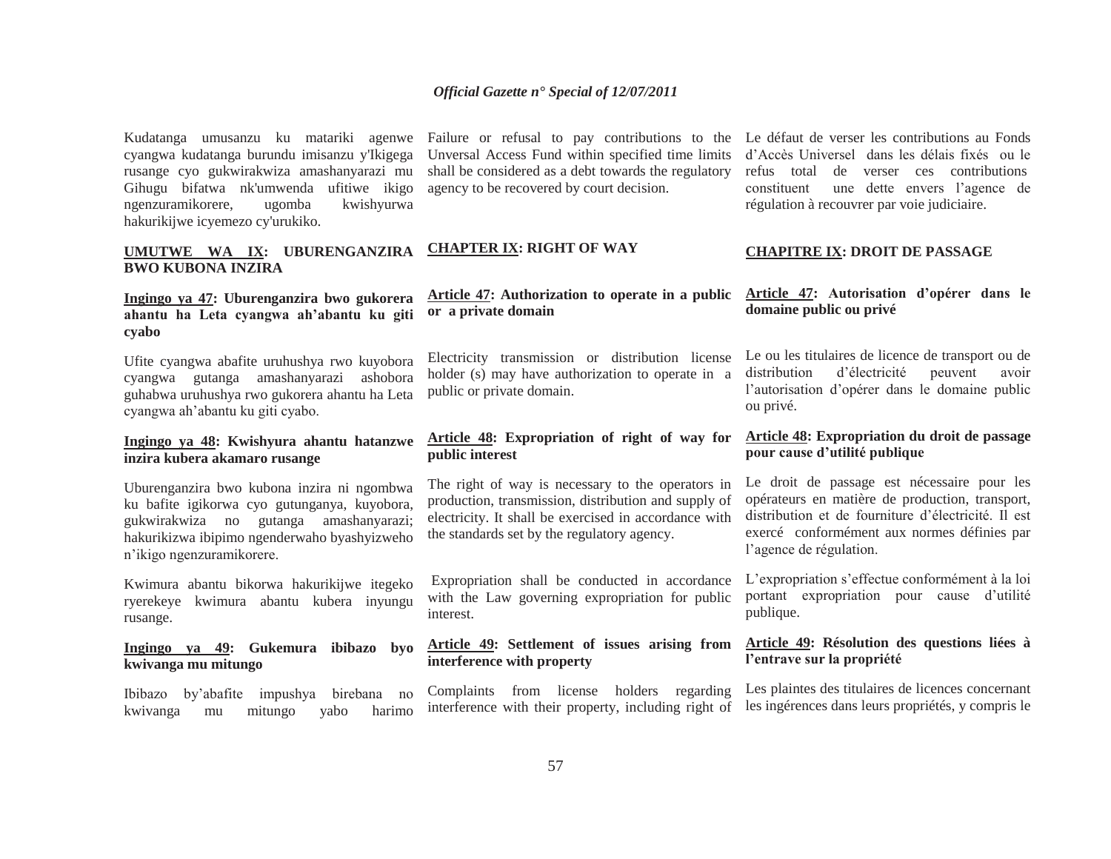Kudatanga umusanzu ku matariki agenwe cyangwa kudatanga burundu imisanzu y'Ikigega rusange cyo gukwirakwiza amashanyarazi mu Gihugu bifatwa nk'umwenda ufitiwe ikigo ngenzuramikorere, ugomba kwishyurwa hakurikijwe icyemezo cy'urukiko.

# **UMUTWE WA IX: UBURENGANZIRA BWO KUBONA INZIRA**

# **Ingingo ya 47: Uburenganzira bwo gukorera ahantu ha Leta cyangwa ah'abantu ku giti cyabo**

Ufite cyangwa abafite uruhushya rwo kuyobora cyangwa gutanga amashanyarazi ashobora guhabwa uruhushya rwo gukorera ahantu ha Leta cyangwa ah'abantu ku giti cyabo.

## **Ingingo ya 48: Kwishyura ahantu hatanzwe inzira kubera akamaro rusange**

Uburenganzira bwo kubona inzira ni ngombwa ku bafite igikorwa cyo gutunganya, kuyobora, gukwirakwiza no gutanga amashanyarazi; hakurikizwa ibipimo ngenderwaho byashyizweho <sup>n</sup>'ikigo ngenzuramikorere.

Kwimura abantu bikorwa hakurikijwe itegeko ryerekeye kwimura abantu kubera inyungu rusange.

**Ingingo ya 49: Gukemura ibibazo byo kwivanga mu mitungo**

Ibibazo by'abafite impushya birebana no kwivanga mu mitungo yabo harimo

Failure or refusal to pay contributions to the Le défaut de verser les contributions au Fonds Unversal Access Fund within specified time limits shall be considered as a debt towards the regulatory agency to be recovered by court decision.

# **CHAPTER IX: RIGHT OF WAY**

# **Article 47: Authorization to operate in a public or a private domain**

Electricity transmission or distribution license holder (s) may have authorization to operate in a public or private domain.

# **Article 48: Expropriation of right of way for public interest**

The right of way is necessary to the operators in production, transmission, distribution and supply of electricity. It shall be exercised in accordance with the standards set by the regulatory agency.

 Expropriation shall be conducted in accordance with the Law governing expropriation for public interest.

# **Article 49: Settlement of issues arising from interference with property**

Complaints from license holders regarding interference with their property, including right of

d'Accès Universel dans les délais fixés ou le refus total de verser ces contributions constituent une dette envers l'agence de régulation à recouvrer par voie judiciaire.

#### **CHAPITRE IX: DROIT DE PASSAGE**

## **Article 47: Autorisation d'opérer dans le domaine public ou privé**

Le ou les titulaires de licence de transport ou de distribution d'électricité peuvent avoir l'autorisation d'opérer dans le domaine public ou privé.

# **Article 48: Expropriation du droit de passage pour cause d'utilité publique**

Le droit de passage est nécessaire pour les opérateurs en matière de production, transport, distribution et de fourniture d'électricité. Il est exercé conformément aux normes définies par l'agence de régulation.

L'expropriation s'effectue conformément à la loi portant expropriation pour cause d'utilité publique.

# **Article 49: Résolution des questions liées à l'entrave sur la propriété**

Les plaintes des titulaires de licences concernant les ingérences dans leurs propriétés, y compris le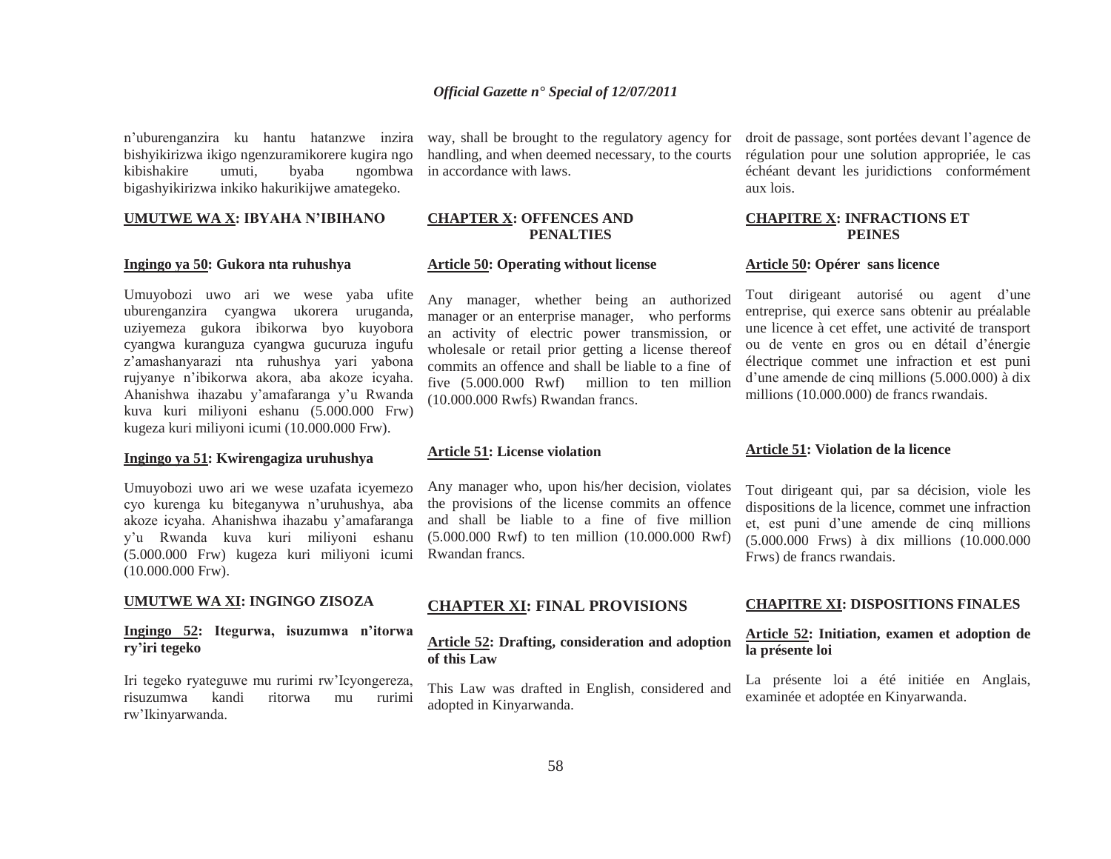<sup>n</sup>'uburenganzira ku hantu hatanzwe inzira bishyikirizwa ikigo ngenzuramikorere kugira ngo kibishakire umuti, byaba ngombwa bigashyikirizwa inkiko hakurikijwe amategeko.

## **UMUTWE WA X: IBYAHA N'IBIHANO**

#### **Ingingo ya 50: Gukora nta ruhushya**

Umuyobozi uwo ari we wese yaba ufite uburenganzira cyangwa ukorera uruganda, uziyemeza gukora ibikorwa byo kuyobora cyangwa kuranguza cyangwa gucuruza ingufu <sup>z</sup>'amashanyarazi nta ruhushya yari yabona rujyanye n'ibikorwa akora, aba akoze icyaha. Ahanishwa ihazabu y'amafaranga y'u Rwanda kuva kuri miliyoni eshanu (5.000.000 Frw) kugeza kuri miliyoni icumi (10.000.000 Frw).

# **Ingingo ya 51: Kwirengagiza uruhushya**

Umuyobozi uwo ari we wese uzafata icyemezo cyo kurenga ku biteganywa n'uruhushya, aba akoze icyaha. Ahanishwa ihazabu y'amafaranga y'u Rwanda kuva kuri miliyoni eshanu (5.000.000 Frw) kugeza kuri miliyoni icumi (10.000.000 Frw).

#### **UMUTWE WA XI: INGINGO ZISOZA**

# **Ingingo 52: Itegurwa, isuzumwa n'itorwa ry'iri tegeko**

Iri tegeko ryateguwe mu rurimi rw'Icyongereza, risuzumwa kandi ritorwa mu rurimi rw'Ikinyarwanda.

way, shall be brought to the regulatory agency for handling, and when deemed necessary, to the courts in accordance with laws.

#### **CHAPTER X: OFFENCES AND PENALTIES**

#### **Article 50: Operating without license**

Any manager, whether being an authorized manager or an enterprise manager, who performs an activity of electric power transmission, or wholesale or retail prior getting a license thereof commits an offence and shall be liable to a fine of five (5.000.000 Rwf) million to ten million (10.000.000 Rwfs) Rwandan francs.

#### **Article 51: License violation**

Any manager who, upon his/her decision, violates the provisions of the license commits an offence and shall be liable to a fine of five million (5.000.000 Rwf) to ten million (10.000.000 Rwf) Rwandan francs.

#### **CHAPTER XI: FINAL PROVISIONS**

# **Article 52: Drafting, consideration and adoption of this Law**

This Law was drafted in English, considered and adopted in Kinyarwanda.

droit de passage, sont portées devant l'agence de régulation pour une solution appropriée, le cas échéant devant les juridictions conformément aux lois.

#### **CHAPITRE X: INFRACTIONS ET PEINES**

#### **Article 50: Opérer sans licence**

Tout dirigeant autorisé ou agent d'une entreprise, qui exerce sans obtenir au préalable une licence à cet effet, une activité de transport ou de vente en gros ou en détail d'énergie électrique commet une infraction et est puni d'une amende de cinq millions (5.000.000) à dix millions (10.000.000) de francs rwandais.

#### **Article 51: Violation de la licence**

Tout dirigeant qui, par sa décision, viole les dispositions de la licence, commet une infraction et, est puni d'une amende de cinq millions (5.000.000 Frws) à dix millions (10.000.000 Frws) de francs rwandais.

#### **CHAPITRE XI: DISPOSITIONS FINALES**

# **Article 52: Initiation, examen et adoption de la présente loi**

La présente loi a été initiée en Anglais, examinée et adoptée en Kinyarwanda.